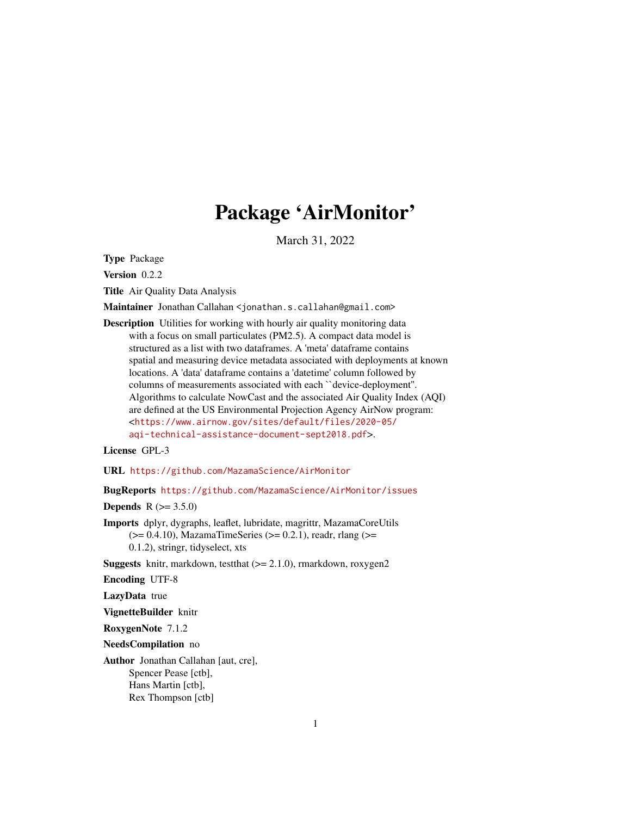# Package 'AirMonitor'

March 31, 2022

<span id="page-0-0"></span>Type Package

Version 0.2.2

Title Air Quality Data Analysis

Maintainer Jonathan Callahan <jonathan.s.callahan@gmail.com>

Description Utilities for working with hourly air quality monitoring data with a focus on small particulates (PM2.5). A compact data model is structured as a list with two dataframes. A 'meta' dataframe contains spatial and measuring device metadata associated with deployments at known locations. A 'data' dataframe contains a 'datetime' column followed by columns of measurements associated with each ``device-deployment''. Algorithms to calculate NowCast and the associated Air Quality Index (AQI) are defined at the US Environmental Projection Agency AirNow program: <[https://www.airnow.gov/sites/default/files/2020-05/](https://www.airnow.gov/sites/default/files/2020-05/aqi-technical-assistance-document-sept2018.pdf) [aqi-technical-assistance-document-sept2018.pdf](https://www.airnow.gov/sites/default/files/2020-05/aqi-technical-assistance-document-sept2018.pdf)>.

License GPL-3

URL <https://github.com/MazamaScience/AirMonitor>

BugReports <https://github.com/MazamaScience/AirMonitor/issues>

**Depends**  $R (= 3.5.0)$ 

Imports dplyr, dygraphs, leaflet, lubridate, magrittr, MazamaCoreUtils  $(>= 0.4.10)$ , MazamaTimeSeries  $(>= 0.2.1)$ , readr, rlang  $(>= 0.4.10)$ 0.1.2), stringr, tidyselect, xts

**Suggests** knitr, markdown, testthat  $(>= 2.1.0)$ , rmarkdown, roxygen2

Encoding UTF-8

LazyData true

VignetteBuilder knitr

RoxygenNote 7.1.2

NeedsCompilation no

Author Jonathan Callahan [aut, cre], Spencer Pease [ctb], Hans Martin [ctb], Rex Thompson [ctb]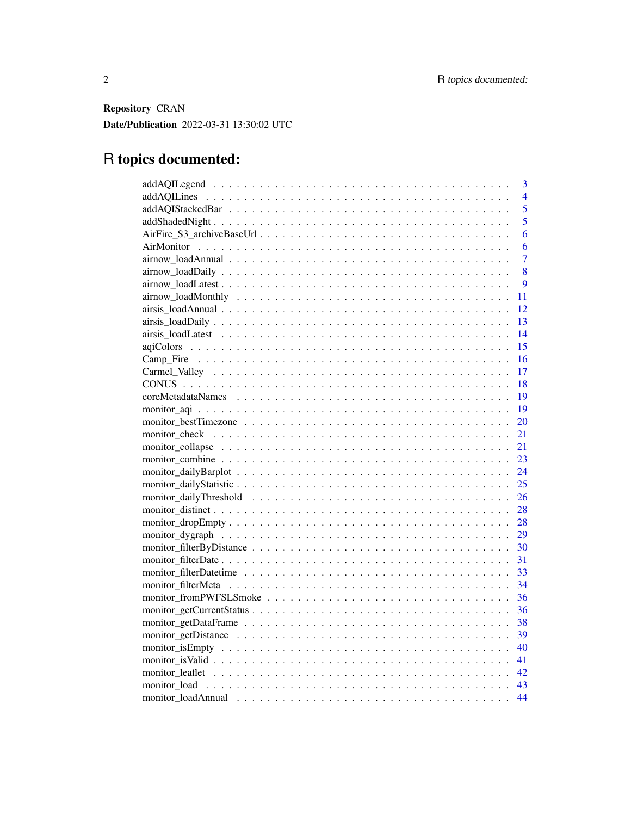Repository CRAN Date/Publication 2022-03-31 13:30:02 UTC

# R topics documented:

| 3              |
|----------------|
| $\overline{4}$ |
| $\overline{5}$ |
| 5              |
| 6              |
| 6              |
| $\overline{7}$ |
| 8              |
| 9              |
| 11             |
| 12             |
| 13             |
| 14             |
| 15             |
| <b>16</b>      |
| 17             |
| 18             |
| -19            |
| 19             |
| 20             |
| 21             |
| 21             |
| 23             |
| 24             |
| 25             |
| 26             |
|                |
|                |
| 29             |
|                |
|                |
|                |
| 34             |
| 36             |
| 36             |
| 38             |
|                |
| 40             |
|                |
|                |
|                |
| 44             |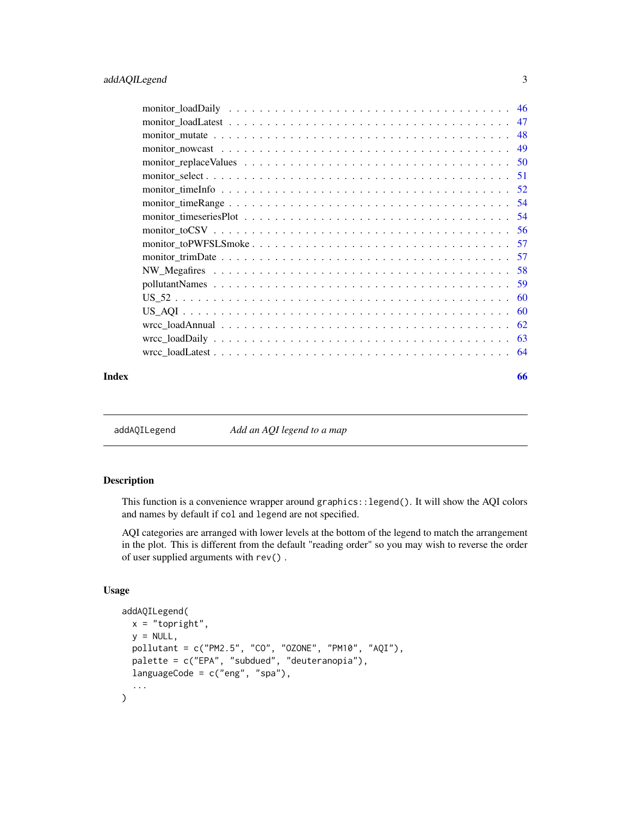<span id="page-2-0"></span>

| Index | 66 |
|-------|----|

addAQILegend *Add an AQI legend to a map*

# Description

This function is a convenience wrapper around graphics::legend(). It will show the AQI colors and names by default if col and legend are not specified.

AQI categories are arranged with lower levels at the bottom of the legend to match the arrangement in the plot. This is different from the default "reading order" so you may wish to reverse the order of user supplied arguments with rev() .

# Usage

```
addAQILegend(
 x = "topright",y = NULL,
 pollutant = c("PM2.5", "CO", "OZONE", "PM10", "AQI"),
 palette = c("EPA", "subdued", "deuteranopia"),
 languageCode = c("eng", "spa"),
  ...
\mathcal{L}
```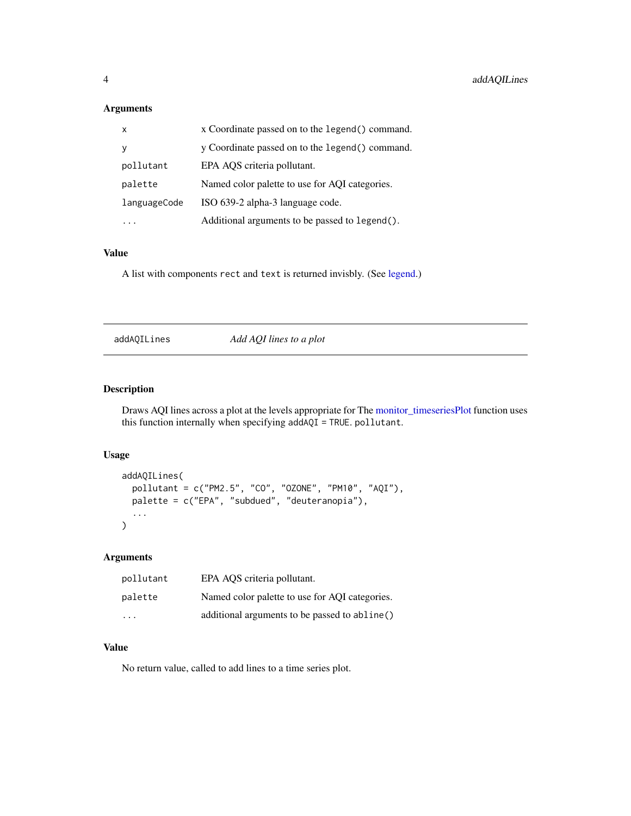# <span id="page-3-0"></span>Arguments

| $\times$     | x Coordinate passed on to the legend() command. |
|--------------|-------------------------------------------------|
| <b>V</b>     | y Coordinate passed on to the legend() command. |
| pollutant    | EPA AOS criteria pollutant.                     |
| palette      | Named color palette to use for AQI categories.  |
| languageCode | ISO 639-2 alpha-3 language code.                |
|              | Additional arguments to be passed to legend().  |

# Value

A list with components rect and text is returned invisbly. (See [legend.](#page-0-0))

addAQILines *Add AQI lines to a plot*

# Description

Draws AQI lines across a plot at the levels appropriate for The [monitor\\_timeseriesPlot](#page-53-1) function uses this function internally when specifying addAQI = TRUE. pollutant.

# Usage

```
addAQILines(
 pollutant = c("PM2.5", "CO", "OZONE", "PM10", "AQI"),
 palette = c("EPA", "subdued", "deuteranopia"),
  ...
)
```
# Arguments

| pollutant               | EPA AQS criteria pollutant.                    |
|-------------------------|------------------------------------------------|
| palette                 | Named color palette to use for AQI categories. |
| $\cdot$ $\cdot$ $\cdot$ | additional arguments to be passed to abline()  |

# Value

No return value, called to add lines to a time series plot.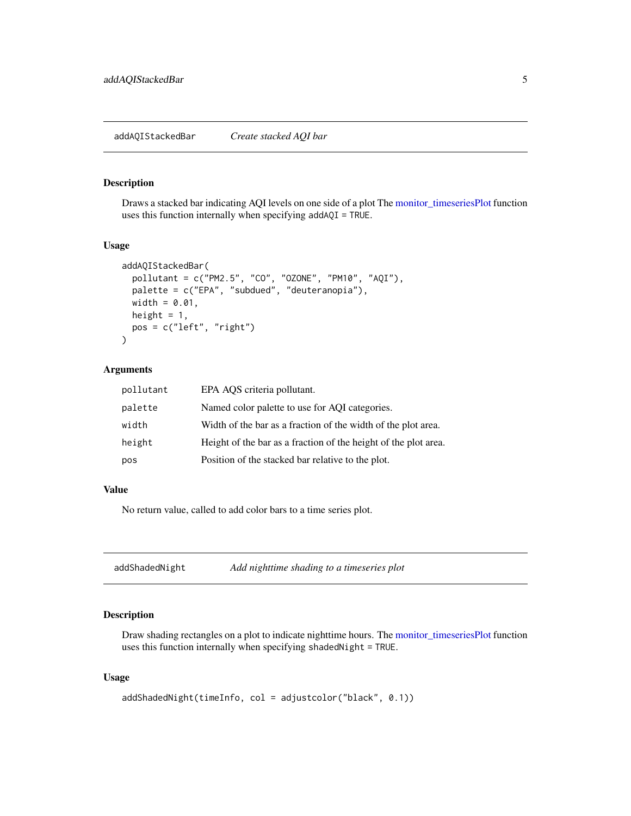#### <span id="page-4-0"></span>Description

Draws a stacked bar indicating AQI levels on one side of a plot The [monitor\\_timeseriesPlot](#page-53-1) function uses this function internally when specifying addAQI = TRUE.

#### Usage

```
addAQIStackedBar(
  pollutant = c("PM2.5", "CO", "OZONE", "PM10", "AQI"),
 palette = c("EPA", "subdued", "deuteranopia"),
 width = 0.01,
 height = 1,
 pos = c("left", "right")
\mathcal{L}
```
#### Arguments

| pollutant | EPA AQS criteria pollutant.                                     |
|-----------|-----------------------------------------------------------------|
| palette   | Named color palette to use for AQI categories.                  |
| width     | Width of the bar as a fraction of the width of the plot area.   |
| height    | Height of the bar as a fraction of the height of the plot area. |
| pos       | Position of the stacked bar relative to the plot.               |

#### Value

No return value, called to add color bars to a time series plot.

addShadedNight *Add nighttime shading to a timeseries plot*

# Description

Draw shading rectangles on a plot to indicate nighttime hours. The [monitor\\_timeseriesPlot](#page-53-1) function uses this function internally when specifying shadedNight = TRUE.

# Usage

```
addShadedNight(timeInfo, col = adjustcolor("black", 0.1))
```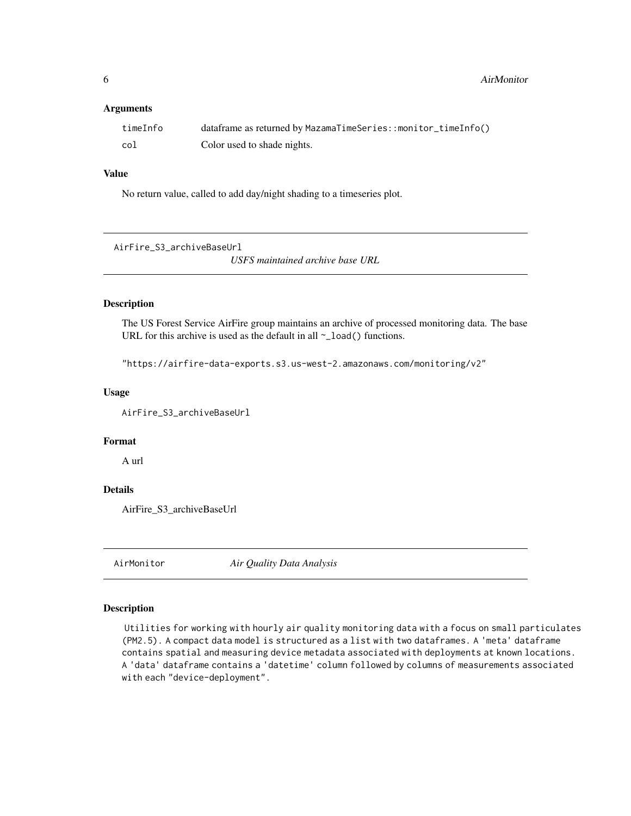<span id="page-5-0"></span>**6** AirMonitor **AirMonitor AirMonitor** 

#### **Arguments**

| timeInfo | dataframe as returned by MazamaTimeSeries::monitor_timeInfo() |
|----------|---------------------------------------------------------------|
| col      | Color used to shade nights.                                   |

# Value

No return value, called to add day/night shading to a timeseries plot.

AirFire\_S3\_archiveBaseUrl

*USFS maintained archive base URL*

#### Description

The US Forest Service AirFire group maintains an archive of processed monitoring data. The base URL for this archive is used as the default in all  $\sim$ \_load() functions.

"https://airfire-data-exports.s3.us-west-2.amazonaws.com/monitoring/v2"

#### Usage

AirFire\_S3\_archiveBaseUrl

# Format

A url

#### Details

AirFire\_S3\_archiveBaseUrl

AirMonitor *Air Quality Data Analysis*

#### Description

Utilities for working with hourly air quality monitoring data with a focus on small particulates (PM2.5). A compact data model is structured as a list with two dataframes. A 'meta' dataframe contains spatial and measuring device metadata associated with deployments at known locations. A 'data' dataframe contains a 'datetime' column followed by columns of measurements associated with each "device-deployment".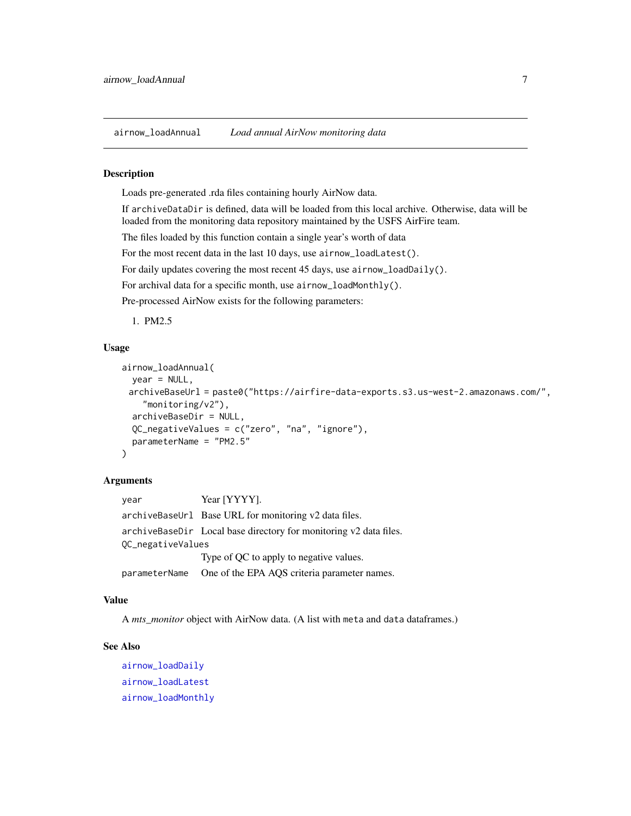<span id="page-6-1"></span><span id="page-6-0"></span>airnow\_loadAnnual *Load annual AirNow monitoring data*

#### **Description**

Loads pre-generated .rda files containing hourly AirNow data.

If archiveDataDir is defined, data will be loaded from this local archive. Otherwise, data will be loaded from the monitoring data repository maintained by the USFS AirFire team.

The files loaded by this function contain a single year's worth of data

For the most recent data in the last 10 days, use airnow\_loadLatest().

For daily updates covering the most recent 45 days, use airnow\_loadDaily().

For archival data for a specific month, use airnow\_loadMonthly().

Pre-processed AirNow exists for the following parameters:

1. PM2.5

# Usage

```
airnow_loadAnnual(
 year = NULL,
 archiveBaseUrl = paste0("https://airfire-data-exports.s3.us-west-2.amazonaws.com/",
    "monitoring/v2"),
  archiveBaseDir = NULL,
  QC_negativeValues = c("zero", "na", "ignore"),
  parameterName = "PM2.5"
)
```
#### Arguments

year Year [YYYY]. archiveBaseUrl Base URL for monitoring v2 data files. archiveBaseDir Local base directory for monitoring v2 data files. QC\_negativeValues Type of QC to apply to negative values. parameterName One of the EPA AQS criteria parameter names.

# Value

A *mts* monitor object with AirNow data. (A list with meta and data dataframes.)

#### See Also

[airnow\\_loadDaily](#page-7-1) [airnow\\_loadLatest](#page-8-1) [airnow\\_loadMonthly](#page-10-1)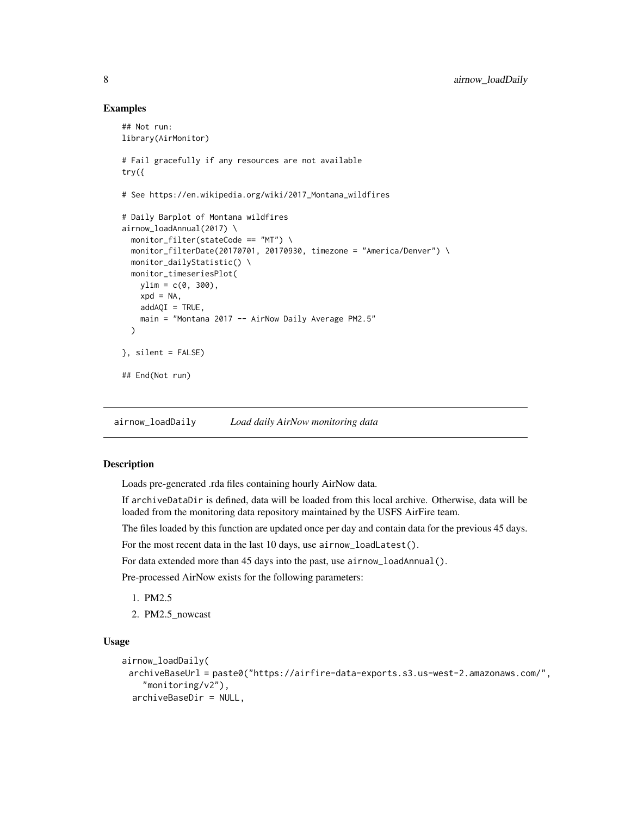#### Examples

```
## Not run:
library(AirMonitor)
# Fail gracefully if any resources are not available
try({
# See https://en.wikipedia.org/wiki/2017_Montana_wildfires
# Daily Barplot of Montana wildfires
airnow_loadAnnual(2017) \
  monitor_filter(stateCode == "MT") \
  monitor_filterDate(20170701, 20170930, timezone = "America/Denver") \
  monitor_dailyStatistic() \
  monitor_timeseriesPlot(
   ylim = c(0, 300),
   xpd = NA,
   addAQI = TRUE,main = "Montana 2017 -- AirNow Daily Average PM2.5"
  \lambda}, silent = FALSE)
## End(Not run)
```
<span id="page-7-1"></span>airnow\_loadDaily *Load daily AirNow monitoring data*

# Description

Loads pre-generated .rda files containing hourly AirNow data.

If archiveDataDir is defined, data will be loaded from this local archive. Otherwise, data will be loaded from the monitoring data repository maintained by the USFS AirFire team.

The files loaded by this function are updated once per day and contain data for the previous 45 days.

For the most recent data in the last 10 days, use airnow\_loadLatest().

For data extended more than 45 days into the past, use airnow\_loadAnnual().

Pre-processed AirNow exists for the following parameters:

- 1. PM2.5
- 2. PM2.5\_nowcast

#### Usage

```
airnow_loadDaily(
 archiveBaseUrl = paste0("https://airfire-data-exports.s3.us-west-2.amazonaws.com/",
    "monitoring/v2"),
  archiveBaseDir = NULL,
```
<span id="page-7-0"></span>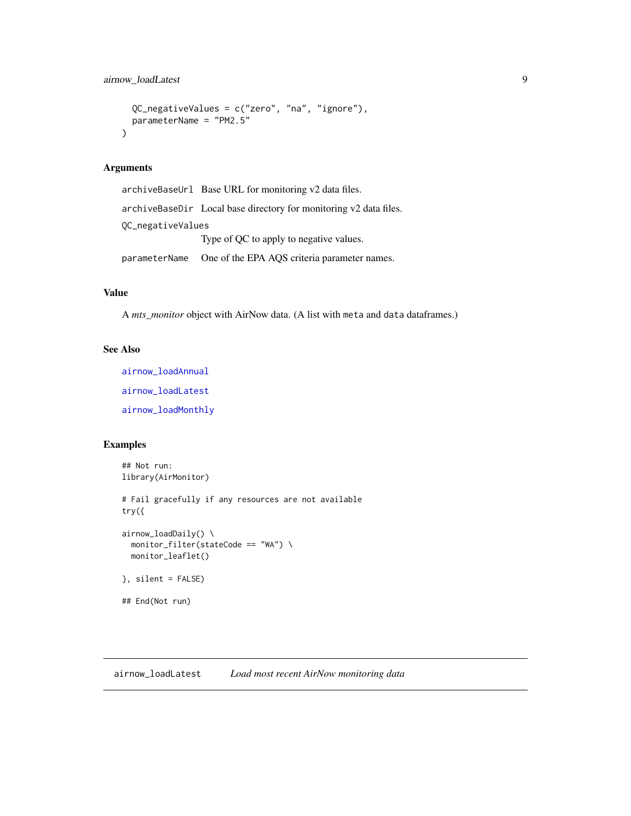```
QC_negativeValues = c("zero", "na", "ignore"),
 parameterName = "PM2.5"
\mathcal{L}
```
# Arguments

archiveBaseUrl Base URL for monitoring v2 data files. archiveBaseDir Local base directory for monitoring v2 data files. QC\_negativeValues Type of QC to apply to negative values. parameterName One of the EPA AQS criteria parameter names.

# Value

A *mts\_monitor* object with AirNow data. (A list with meta and data dataframes.)

#### See Also

[airnow\\_loadAnnual](#page-6-1) [airnow\\_loadLatest](#page-8-1) [airnow\\_loadMonthly](#page-10-1)

# Examples

```
## Not run:
library(AirMonitor)
# Fail gracefully if any resources are not available
try({
airnow_loadDaily() \
  monitor_filter(stateCode == "WA") \
  monitor_leaflet()
}, silent = FALSE)
## End(Not run)
```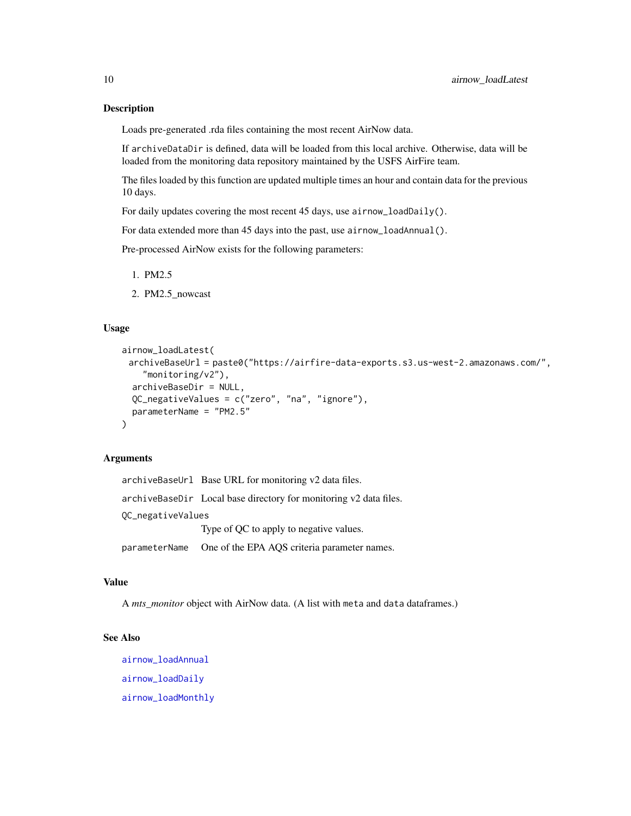#### Description

Loads pre-generated .rda files containing the most recent AirNow data.

If archiveDataDir is defined, data will be loaded from this local archive. Otherwise, data will be loaded from the monitoring data repository maintained by the USFS AirFire team.

The files loaded by this function are updated multiple times an hour and contain data for the previous 10 days.

For daily updates covering the most recent 45 days, use airnow\_loadDaily().

For data extended more than 45 days into the past, use airnow\_loadAnnual().

Pre-processed AirNow exists for the following parameters:

- 1. PM2.5
- 2. PM2.5\_nowcast

#### Usage

```
airnow_loadLatest(
 archiveBaseUrl = paste0("https://airfire-data-exports.s3.us-west-2.amazonaws.com/",
    "monitoring/v2"),
  archiveBaseDir = NULL,
 QC_negativeValues = c("zero", "na", "ignore"),
 parameterName = "PM2.5"
)
```
# Arguments

|                   | archiveBaseUrl Base URL for monitoring v2 data files.             |
|-------------------|-------------------------------------------------------------------|
|                   | archiveBaseDir Local base directory for monitoring v2 data files. |
| OC_negativeValues |                                                                   |
|                   | Type of QC to apply to negative values.                           |
|                   | parameterName One of the EPA AQS criteria parameter names.        |

#### Value

A *mts\_monitor* object with AirNow data. (A list with meta and data dataframes.)

# See Also

[airnow\\_loadAnnual](#page-6-1) [airnow\\_loadDaily](#page-7-1) [airnow\\_loadMonthly](#page-10-1)

<span id="page-9-0"></span>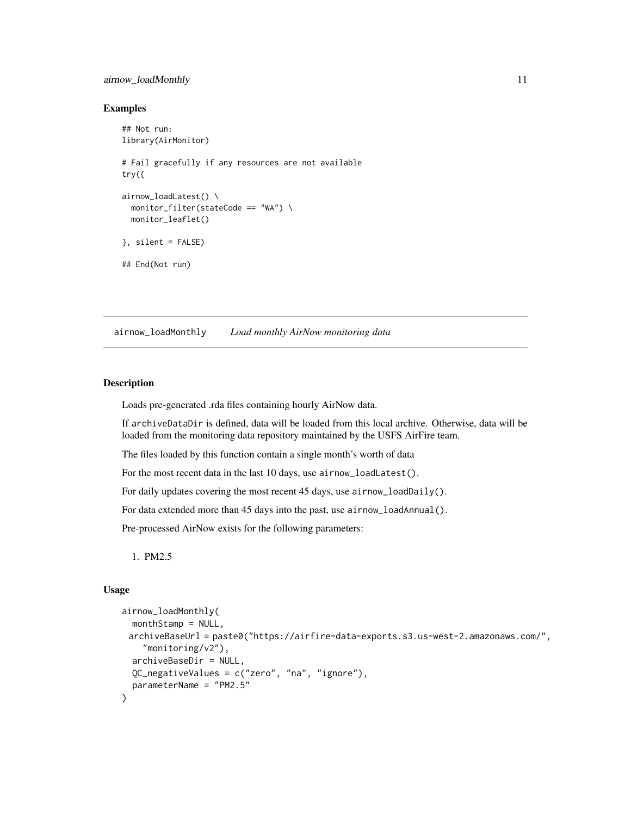# <span id="page-10-0"></span>airnow\_loadMonthly 11

#### Examples

```
## Not run:
library(AirMonitor)
# Fail gracefully if any resources are not available
try({
airnow_loadLatest() \
  monitor_filter(stateCode == "WA") \
  monitor_leaflet()
}, silent = FALSE)
## End(Not run)
```
<span id="page-10-1"></span>airnow\_loadMonthly *Load monthly AirNow monitoring data*

#### Description

Loads pre-generated .rda files containing hourly AirNow data.

If archiveDataDir is defined, data will be loaded from this local archive. Otherwise, data will be loaded from the monitoring data repository maintained by the USFS AirFire team.

The files loaded by this function contain a single month's worth of data

For the most recent data in the last 10 days, use airnow\_loadLatest().

For daily updates covering the most recent 45 days, use airnow\_loadDaily().

For data extended more than 45 days into the past, use airnow\_loadAnnual().

Pre-processed AirNow exists for the following parameters:

1. PM2.5

#### Usage

```
airnow_loadMonthly(
  monthStamp = NULL,
 archiveBaseUrl = paste0("https://airfire-data-exports.s3.us-west-2.amazonaws.com/",
    "monitoring/v2"),
  archiveBaseDir = NULL,
  QC_negativeValues = c("zero", "na", "ignore"),
  parameterName = "PM2.5"
)
```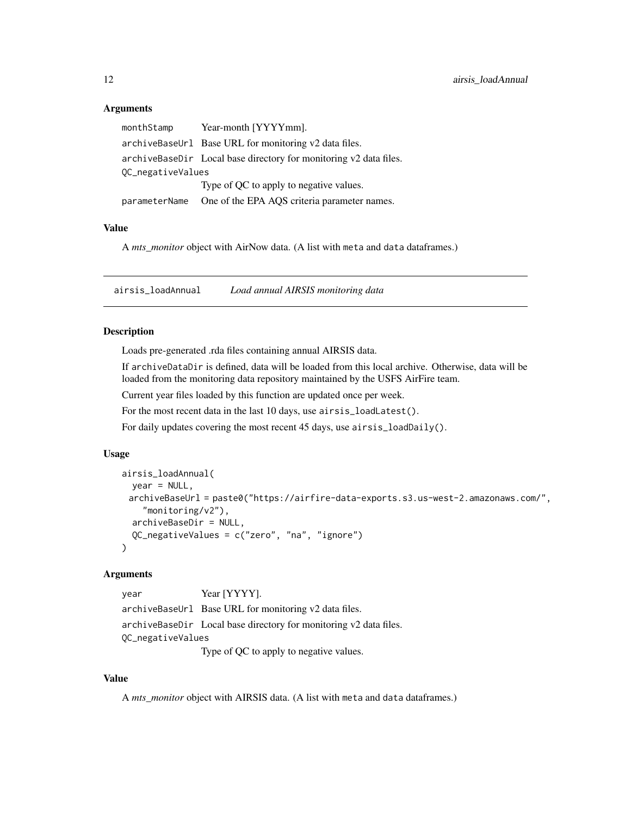# <span id="page-11-0"></span>**Arguments**

| monthStamp        | Year-month [YYYYmm].                                              |
|-------------------|-------------------------------------------------------------------|
|                   | archiveBaseUrl Base URL for monitoring v2 data files.             |
|                   | archiveBaseDir Local base directory for monitoring v2 data files. |
| QC_negativeValues |                                                                   |
|                   | Type of QC to apply to negative values.                           |
| parameterName     | One of the EPA AQS criteria parameter names.                      |

# Value

A *mts\_monitor* object with AirNow data. (A list with meta and data dataframes.)

<span id="page-11-1"></span>airsis\_loadAnnual *Load annual AIRSIS monitoring data*

#### Description

Loads pre-generated .rda files containing annual AIRSIS data.

If archiveDataDir is defined, data will be loaded from this local archive. Otherwise, data will be loaded from the monitoring data repository maintained by the USFS AirFire team.

Current year files loaded by this function are updated once per week.

For the most recent data in the last 10 days, use airsis\_loadLatest().

For daily updates covering the most recent 45 days, use airsis\_loadDaily().

#### Usage

```
airsis_loadAnnual(
 year = NULL,
 archiveBaseUrl = paste0("https://airfire-data-exports.s3.us-west-2.amazonaws.com/",
    "monitoring/v2"),
  archiveBaseDir = NULL,
  QC_negativeValues = c("zero", "na", "ignore")
)
```
# Arguments

```
year Year [YYYY].
archiveBaseUrl Base URL for monitoring v2 data files.
archiveBaseDir Local base directory for monitoring v2 data files.
QC_negativeValues
```
Type of QC to apply to negative values.

#### Value

A *mts\_monitor* object with AIRSIS data. (A list with meta and data dataframes.)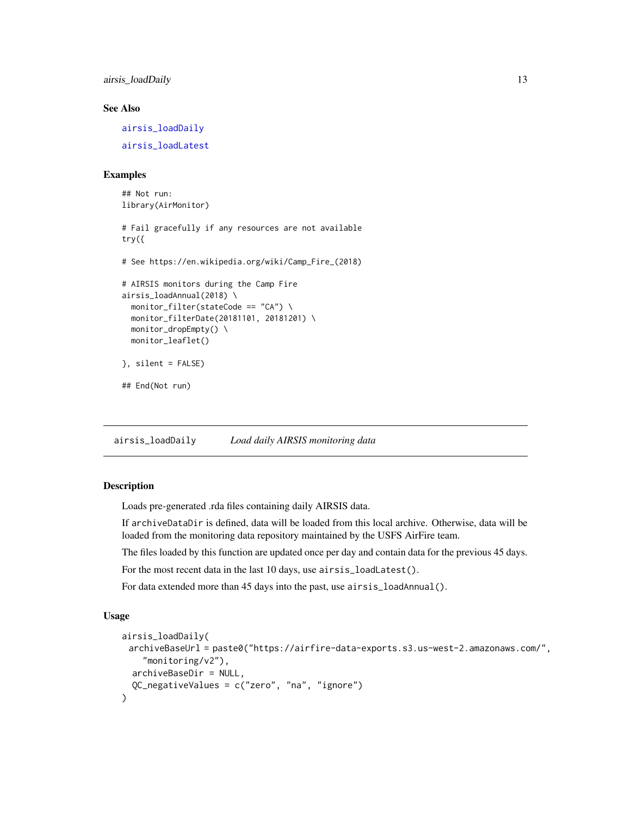<span id="page-12-0"></span>airsis\_loadDaily 13

# See Also

[airsis\\_loadDaily](#page-12-1) [airsis\\_loadLatest](#page-13-1)

#### Examples

```
## Not run:
library(AirMonitor)
# Fail gracefully if any resources are not available
try({
# See https://en.wikipedia.org/wiki/Camp_Fire_(2018)
# AIRSIS monitors during the Camp Fire
airsis_loadAnnual(2018) \
  monitor_filter(stateCode == "CA") \
  monitor_filterDate(20181101, 20181201) \
  monitor_dropEmpty() \
  monitor_leaflet()
}, silent = FALSE)
## End(Not run)
```
<span id="page-12-1"></span>airsis\_loadDaily *Load daily AIRSIS monitoring data*

#### Description

Loads pre-generated .rda files containing daily AIRSIS data.

If archiveDataDir is defined, data will be loaded from this local archive. Otherwise, data will be loaded from the monitoring data repository maintained by the USFS AirFire team.

The files loaded by this function are updated once per day and contain data for the previous 45 days.

For the most recent data in the last 10 days, use airsis\_loadLatest().

For data extended more than 45 days into the past, use airsis\_loadAnnual().

#### Usage

```
airsis_loadDaily(
 archiveBaseUrl = paste0("https://airfire-data-exports.s3.us-west-2.amazonaws.com/",
    "monitoring/v2"),
 archiveBaseDir = NULL,
  QC_negativeValues = c("zero", "na", "ignore")
)
```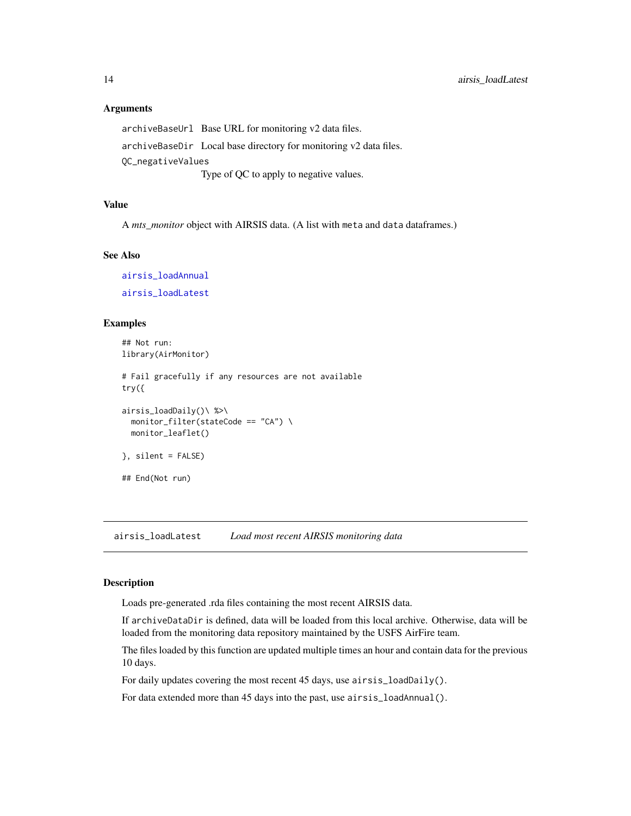#### <span id="page-13-0"></span>Arguments

archiveBaseUrl Base URL for monitoring v2 data files. archiveBaseDir Local base directory for monitoring v2 data files. QC\_negativeValues Type of QC to apply to negative values.

# Value

A *mts\_monitor* object with AIRSIS data. (A list with meta and data dataframes.)

#### See Also

[airsis\\_loadAnnual](#page-11-1) [airsis\\_loadLatest](#page-13-1)

#### Examples

```
## Not run:
library(AirMonitor)
# Fail gracefully if any resources are not available
try({
airsis_loadDaily()\ %>\
  monitor_filter(stateCode == "CA") \
  monitor_leaflet()
}, silent = FALSE)
## End(Not run)
```
<span id="page-13-1"></span>airsis\_loadLatest *Load most recent AIRSIS monitoring data*

# Description

Loads pre-generated .rda files containing the most recent AIRSIS data.

If archiveDataDir is defined, data will be loaded from this local archive. Otherwise, data will be loaded from the monitoring data repository maintained by the USFS AirFire team.

The files loaded by this function are updated multiple times an hour and contain data for the previous 10 days.

For daily updates covering the most recent 45 days, use airsis\_loadDaily().

For data extended more than 45 days into the past, use airsis\_loadAnnual().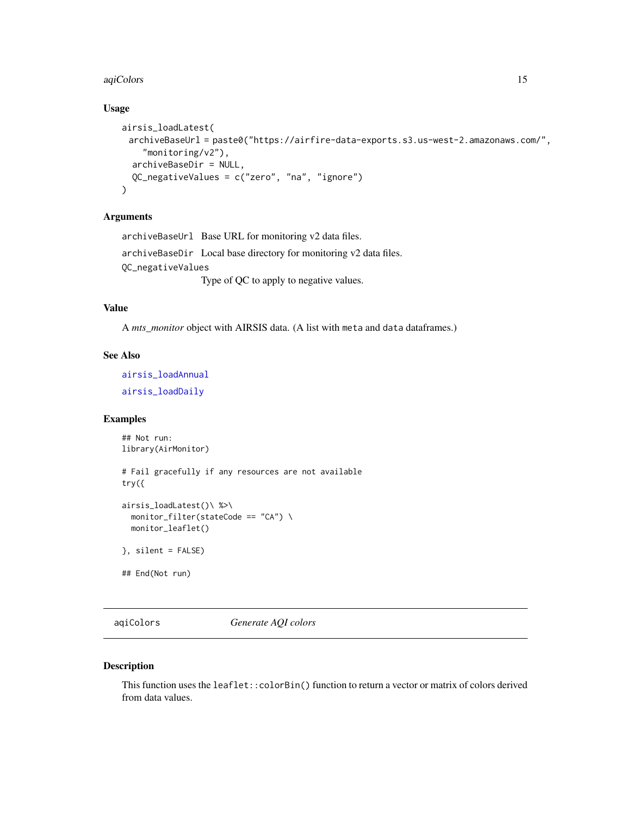#### <span id="page-14-0"></span>aqiColors 15

# Usage

```
airsis_loadLatest(
 archiveBaseUrl = paste0("https://airfire-data-exports.s3.us-west-2.amazonaws.com/",
    "monitoring/v2"),
  archiveBaseDir = NULL,
  QC_negativeValues = c("zero", "na", "ignore")
)
```
# Arguments

archiveBaseUrl Base URL for monitoring v2 data files. archiveBaseDir Local base directory for monitoring v2 data files. QC\_negativeValues Type of QC to apply to negative values.

# Value

A *mts\_monitor* object with AIRSIS data. (A list with meta and data dataframes.)

# See Also

[airsis\\_loadAnnual](#page-11-1) [airsis\\_loadDaily](#page-12-1)

# Examples

```
## Not run:
library(AirMonitor)
# Fail gracefully if any resources are not available
try({
airsis_loadLatest()\ %>\
  monitor_filter(stateCode == "CA") \
  monitor_leaflet()
}, silent = FALSE)
## End(Not run)
```
aqiColors *Generate AQI colors*

#### Description

This function uses the leaflet::colorBin() function to return a vector or matrix of colors derived from data values.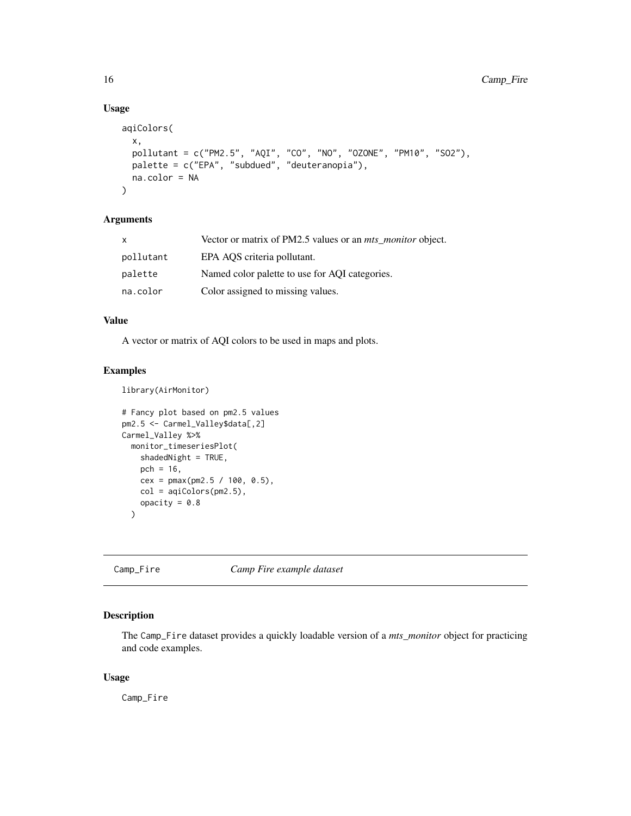# Usage

```
aqiColors(
  x,
 pollutant = c("PM2.5", "AQI", "CO", "NO", "OZONE", "PM10", "SO2"),
 palette = c("EPA", "subdued", "deuteranopia"),
 na.color = NA
)
```
# Arguments

| X         | Vector or matrix of PM2.5 values or an <i>mts_monitor</i> object. |
|-----------|-------------------------------------------------------------------|
| pollutant | EPA AQS criteria pollutant.                                       |
| palette   | Named color palette to use for AQI categories.                    |
| na.color  | Color assigned to missing values.                                 |

#### Value

A vector or matrix of AQI colors to be used in maps and plots.

# Examples

library(AirMonitor)

```
# Fancy plot based on pm2.5 values
pm2.5 <- Carmel_Valley$data[,2]
Carmel_Valley %>%
 monitor_timeseriesPlot(
   shadedNight = TRUE,
   pch = 16,
   cex = pmax(pm2.5 / 100, 0.5),
   col = aqiColors(pm2.5),
   opacity = 0.8)
```
Camp\_Fire *Camp Fire example dataset*

# Description

The Camp\_Fire dataset provides a quickly loadable version of a *mts\_monitor* object for practicing and code examples.

# Usage

Camp\_Fire

<span id="page-15-0"></span>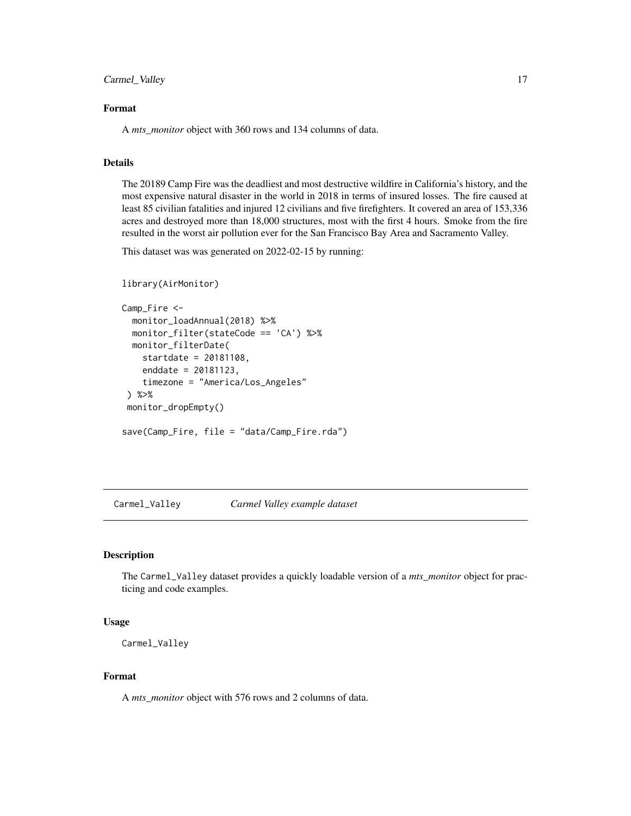<span id="page-16-0"></span>Carmel\_Valley 17

# Format

A *mts\_monitor* object with 360 rows and 134 columns of data.

#### Details

The 20189 Camp Fire was the deadliest and most destructive wildfire in California's history, and the most expensive natural disaster in the world in 2018 in terms of insured losses. The fire caused at least 85 civilian fatalities and injured 12 civilians and five firefighters. It covered an area of 153,336 acres and destroyed more than 18,000 structures, most with the first 4 hours. Smoke from the fire resulted in the worst air pollution ever for the San Francisco Bay Area and Sacramento Valley.

This dataset was was generated on 2022-02-15 by running:

```
library(AirMonitor)
```

```
Camp_Fire <-
 monitor_loadAnnual(2018) %>%
 monitor_filter(stateCode == 'CA') %>%
 monitor_filterDate(
    startdate = 20181108,
    enddate = 20181123,
    timezone = "America/Los_Angeles"
) %>%
monitor_dropEmpty()
save(Camp_Fire, file = "data/Camp_Fire.rda")
```
Carmel\_Valley *Carmel Valley example dataset*

# Description

The Carmel\_Valley dataset provides a quickly loadable version of a *mts\_monitor* object for practicing and code examples.

#### Usage

```
Carmel_Valley
```
#### Format

A *mts\_monitor* object with 576 rows and 2 columns of data.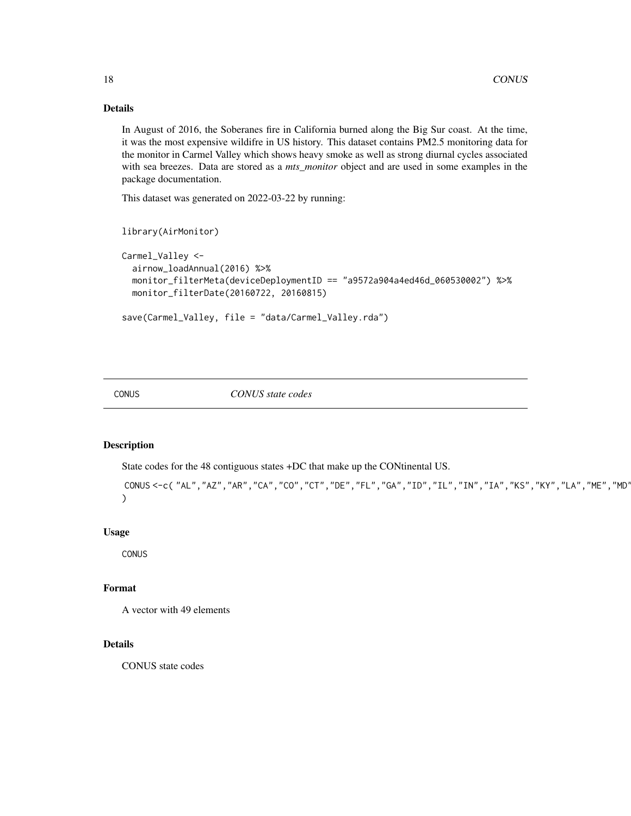# Details

In August of 2016, the Soberanes fire in California burned along the Big Sur coast. At the time, it was the most expensive wildifre in US history. This dataset contains PM2.5 monitoring data for the monitor in Carmel Valley which shows heavy smoke as well as strong diurnal cycles associated with sea breezes. Data are stored as a *mts\_monitor* object and are used in some examples in the package documentation.

This dataset was generated on 2022-03-22 by running:

```
library(AirMonitor)
```

```
Carmel_Valley <-
 airnow_loadAnnual(2016) %>%
 monitor_filterMeta(deviceDeploymentID == "a9572a904a4ed46d_060530002") %>%
 monitor_filterDate(20160722, 20160815)
```

```
save(Carmel_Valley, file = "data/Carmel_Valley.rda")
```
CONUS *CONUS state codes*

# Description

State codes for the 48 contiguous states +DC that make up the CONtinental US.

```
CONUS <- c( "AL", "AZ", "AR", "CA", "CO", "CT", "DE", "FL", "GA", "ID", "IL", "IN", "IA", "KS", "KY", "LA", "ME", "MD'
)
```
#### Usage

CONUS

# Format

A vector with 49 elements

#### Details

CONUS state codes

<span id="page-17-0"></span>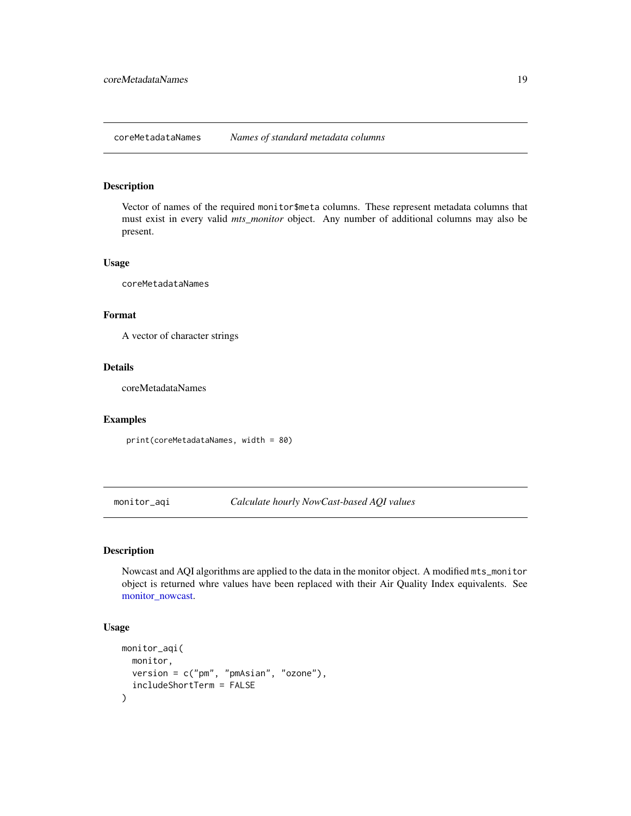<span id="page-18-0"></span>coreMetadataNames *Names of standard metadata columns*

# Description

Vector of names of the required monitor\$meta columns. These represent metadata columns that must exist in every valid *mts\_monitor* object. Any number of additional columns may also be present.

#### Usage

coreMetadataNames

#### Format

A vector of character strings

# Details

coreMetadataNames

# Examples

print(coreMetadataNames, width = 80)

monitor\_aqi *Calculate hourly NowCast-based AQI values*

# Description

Nowcast and AQI algorithms are applied to the data in the monitor object. A modified mts\_monitor object is returned whre values have been replaced with their Air Quality Index equivalents. See [monitor\\_nowcast.](#page-48-1)

# Usage

```
monitor_aqi(
  monitor,
  version = c("pm", "pmAsian", "ozone"),
  includeShortTerm = FALSE
\mathcal{E}
```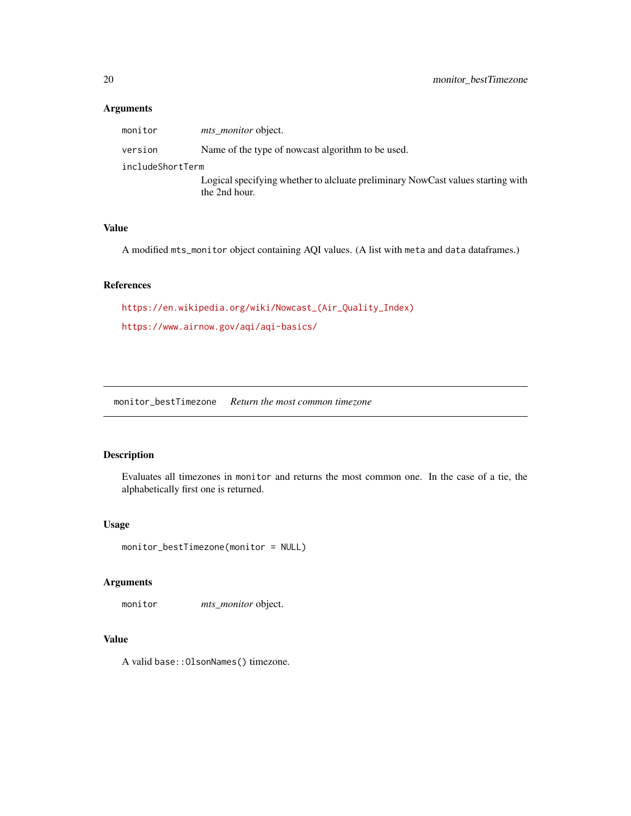# Arguments

| monitor          | <i>mts monitor</i> object.                                                                       |
|------------------|--------------------------------------------------------------------------------------------------|
| version          | Name of the type of nowcast algorithm to be used.                                                |
| includeShortTerm |                                                                                                  |
|                  | Logical specifying whether to alcluate preliminary NowCast values starting with<br>the 2nd hour. |

# Value

A modified mts\_monitor object containing AQI values. (A list with meta and data dataframes.)

# References

```
https://en.wikipedia.org/wiki/Nowcast_(Air_Quality_Index)
https://www.airnow.gov/aqi/aqi-basics/
```
monitor\_bestTimezone *Return the most common timezone*

# Description

Evaluates all timezones in monitor and returns the most common one. In the case of a tie, the alphabetically first one is returned.

#### Usage

monitor\_bestTimezone(monitor = NULL)

#### Arguments

monitor *mts\_monitor* object.

# Value

A valid base::OlsonNames() timezone.

<span id="page-19-0"></span>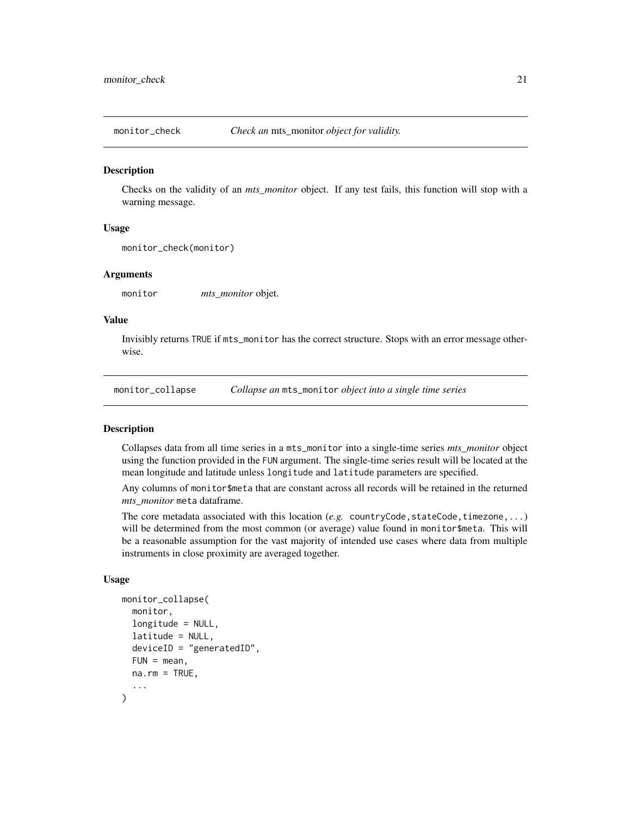<span id="page-20-0"></span>

#### Description

Checks on the validity of an *mts\_monitor* object. If any test fails, this function will stop with a warning message.

#### Usage

```
monitor_check(monitor)
```
#### Arguments

monitor *mts\_monitor* objet.

#### Value

Invisibly returns TRUE if mts\_monitor has the correct structure. Stops with an error message otherwise.

monitor\_collapse *Collapse an* mts\_monitor *object into a single time series*

#### Description

Collapses data from all time series in a mts\_monitor into a single-time series *mts\_monitor* object using the function provided in the FUN argument. The single-time series result will be located at the mean longitude and latitude unless longitude and latitude parameters are specified.

Any columns of monitor\$meta that are constant across all records will be retained in the returned *mts\_monitor* meta dataframe.

The core metadata associated with this location  $(e.g.$  countryCode, stateCode, timezone,...) will be determined from the most common (or average) value found in monitor\$meta. This will be a reasonable assumption for the vast majority of intended use cases where data from multiple instruments in close proximity are averaged together.

#### Usage

```
monitor_collapse(
  monitor,
  longitude = NULL,
  latitude = NULL,
  deviceID = "generatedID",
  FUN = mean,
  na.rm = TRUE,...
)
```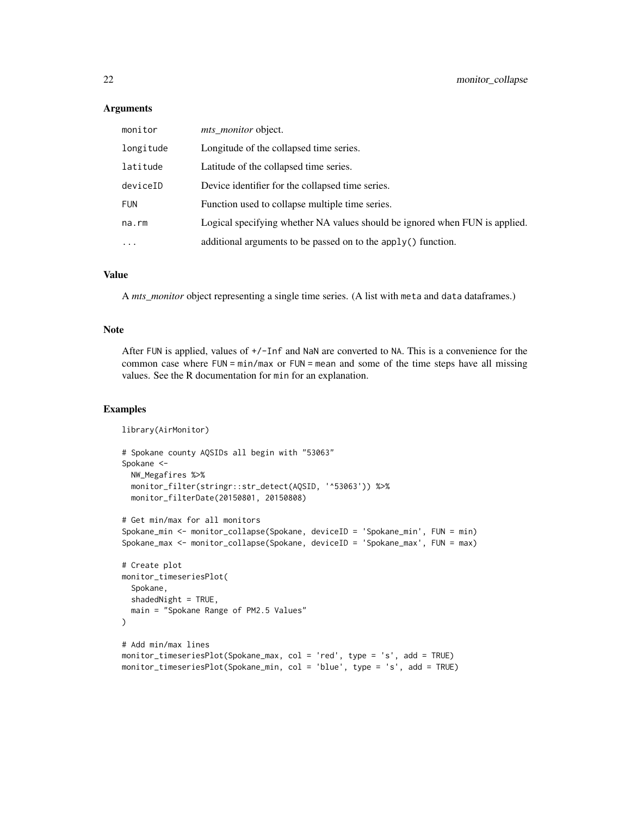#### **Arguments**

| monitor    | mts_monitor object.                                                         |
|------------|-----------------------------------------------------------------------------|
| longitude  | Longitude of the collapsed time series.                                     |
| latitude   | Latitude of the collapsed time series.                                      |
| deviceID   | Device identifier for the collapsed time series.                            |
| <b>FUN</b> | Function used to collapse multiple time series.                             |
| na.rm      | Logical specifying whether NA values should be ignored when FUN is applied. |
| $\ddotsc$  | additional arguments to be passed on to the apply() function.               |

#### Value

A *mts\_monitor* object representing a single time series. (A list with meta and data dataframes.)

# Note

After FUN is applied, values of +/-Inf and NaN are converted to NA. This is a convenience for the common case where FUN = min/max or FUN = mean and some of the time steps have all missing values. See the R documentation for min for an explanation.

# Examples

```
library(AirMonitor)
# Spokane county AQSIDs all begin with "53063"
Spokane <-
  NW_Megafires %>%
  monitor_filter(stringr::str_detect(AQSID, '^53063')) %>%
  monitor_filterDate(20150801, 20150808)
# Get min/max for all monitors
Spokane_min <- monitor_collapse(Spokane, deviceID = 'Spokane_min', FUN = min)
Spokane_max <- monitor_collapse(Spokane, deviceID = 'Spokane_max', FUN = max)
# Create plot
monitor_timeseriesPlot(
  Spokane,
  shadedNight = TRUE,
  main = "Spokane Range of PM2.5 Values"
\mathcal{L}# Add min/max lines
monitor_timeseriesPlot(Spokane_max, col = 'red', type = 's', add = TRUE)
monitor_timeseriesPlot(Spokane_min, col = 'blue', type = 's', add = TRUE)
```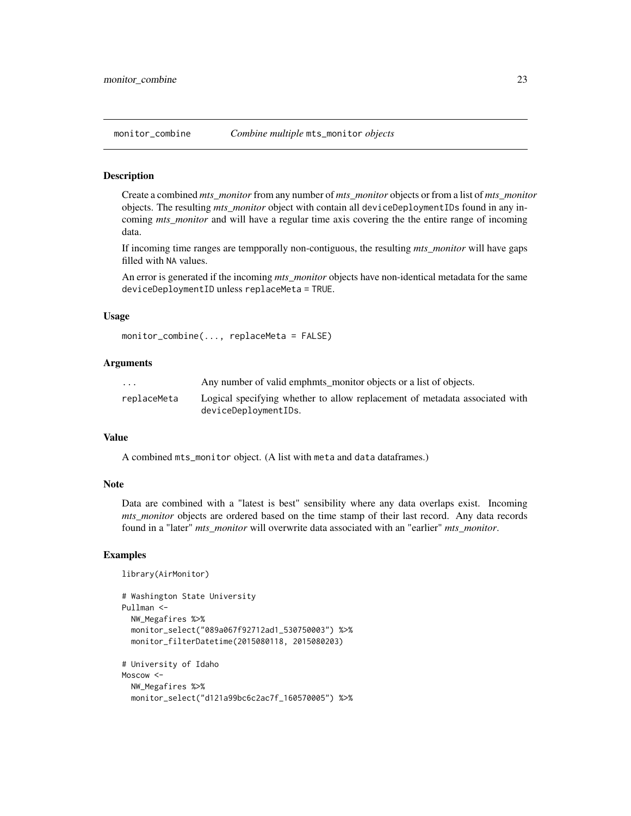#### <span id="page-22-0"></span>Description

Create a combined *mts\_monitor* from any number of *mts\_monitor* objects or from a list of *mts\_monitor* objects. The resulting *mts\_monitor* object with contain all deviceDeploymentIDs found in any incoming *mts\_monitor* and will have a regular time axis covering the the entire range of incoming data.

If incoming time ranges are tempporally non-contiguous, the resulting *mts\_monitor* will have gaps filled with NA values.

An error is generated if the incoming *mts\_monitor* objects have non-identical metadata for the same deviceDeploymentID unless replaceMeta = TRUE.

# Usage

```
monitor_combine(..., replaceMeta = FALSE)
```
# Arguments

| $\cdot$ $\cdot$ $\cdot$ | Any number of valid emphits monitor objects or a list of objects.           |
|-------------------------|-----------------------------------------------------------------------------|
| replaceMeta             | Logical specifying whether to allow replacement of metadata associated with |
|                         | deviceDeploymentIDs.                                                        |

#### Value

A combined mts\_monitor object. (A list with meta and data dataframes.)

#### Note

Data are combined with a "latest is best" sensibility where any data overlaps exist. Incoming *mts\_monitor* objects are ordered based on the time stamp of their last record. Any data records found in a "later" *mts\_monitor* will overwrite data associated with an "earlier" *mts\_monitor*.

#### Examples

```
library(AirMonitor)
```

```
# Washington State University
Pullman <-
 NW_Megafires %>%
 monitor_select("089a067f92712ad1_530750003") %>%
 monitor_filterDatetime(2015080118, 2015080203)
# University of Idaho
Moscow <-
 NW_Megafires %>%
 monitor_select("d121a99bc6c2ac7f_160570005") %>%
```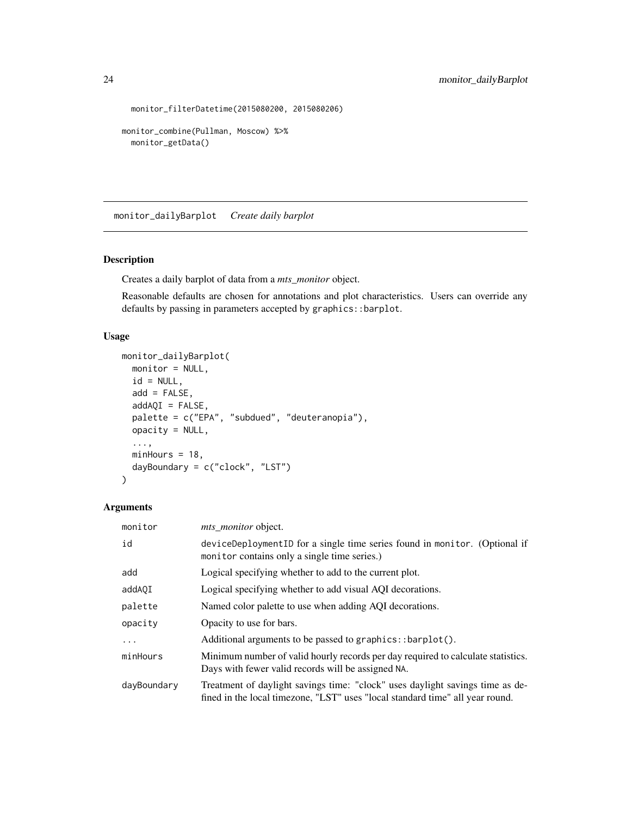```
monitor_filterDatetime(2015080200, 2015080206)
```

```
monitor_combine(Pullman, Moscow) %>%
  monitor_getData()
```
monitor\_dailyBarplot *Create daily barplot*

# Description

Creates a daily barplot of data from a *mts\_monitor* object.

Reasonable defaults are chosen for annotations and plot characteristics. Users can override any defaults by passing in parameters accepted by graphics::barplot.

# Usage

```
monitor_dailyBarplot(
 monitor = NULL,
 id = NULL,add = FALSE,addAQI = FALSE,palette = c("EPA", "subdued", "deuteranopia"),
 opacity = NULL,
  ...,
 minHours = 18,
 dayBoundary = c("clock", "LST")
)
```
# Arguments

| monitor     | <i>mts monitor</i> object.                                                                                                                                     |  |
|-------------|----------------------------------------------------------------------------------------------------------------------------------------------------------------|--|
| id          | deviceDeploymentID for a single time series found in monitor. (Optional if<br>monitor contains only a single time series.)                                     |  |
| add         | Logical specifying whether to add to the current plot.                                                                                                         |  |
| addA0I      | Logical specifying whether to add visual AQI decorations.                                                                                                      |  |
| palette     | Named color palette to use when adding AQI decorations.                                                                                                        |  |
| opacity     | Opacity to use for bars.                                                                                                                                       |  |
| $\ddots$    | Additional arguments to be passed to graphics::barplot().                                                                                                      |  |
| minHours    | Minimum number of valid hourly records per day required to calculate statistics.<br>Days with fewer valid records will be assigned NA.                         |  |
| dayBoundary | Treatment of daylight savings time: "clock" uses daylight savings time as de-<br>fined in the local timezone, "LST" uses "local standard time" all year round. |  |

<span id="page-23-0"></span>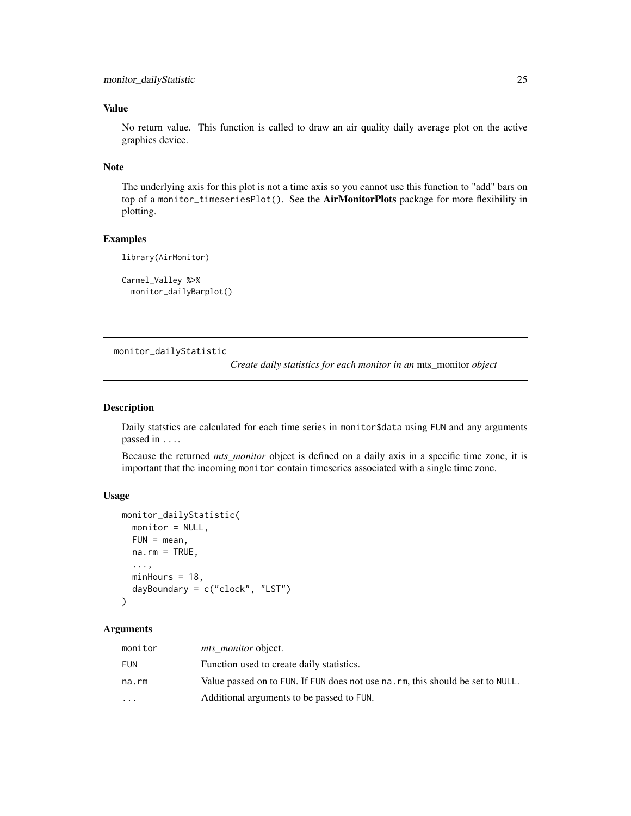# <span id="page-24-0"></span>Value

No return value. This function is called to draw an air quality daily average plot on the active graphics device.

#### Note

The underlying axis for this plot is not a time axis so you cannot use this function to "add" bars on top of a monitor\_timeseriesPlot(). See the **AirMonitorPlots** package for more flexibility in plotting.

#### Examples

```
library(AirMonitor)
```

```
Carmel_Valley %>%
 monitor_dailyBarplot()
```
monitor\_dailyStatistic

*Create daily statistics for each monitor in an* mts\_monitor *object*

# Description

Daily statstics are calculated for each time series in monitor\$data using FUN and any arguments passed in ....

Because the returned *mts\_monitor* object is defined on a daily axis in a specific time zone, it is important that the incoming monitor contain timeseries associated with a single time zone.

# Usage

```
monitor_dailyStatistic(
 monitor = NULL,
 FUN = mean,
 na.rm = TRUE,...,
 minHours = 18,
  dayBoundary = c("clock", "LST")
\lambda
```
# Arguments

| monitor   | <i>mts monitor</i> object.                                                      |
|-----------|---------------------------------------------------------------------------------|
| FUN       | Function used to create daily statistics.                                       |
| na.rm     | Value passed on to FUN. If FUN does not use na. rm, this should be set to NULL. |
| $\ddotsc$ | Additional arguments to be passed to FUN.                                       |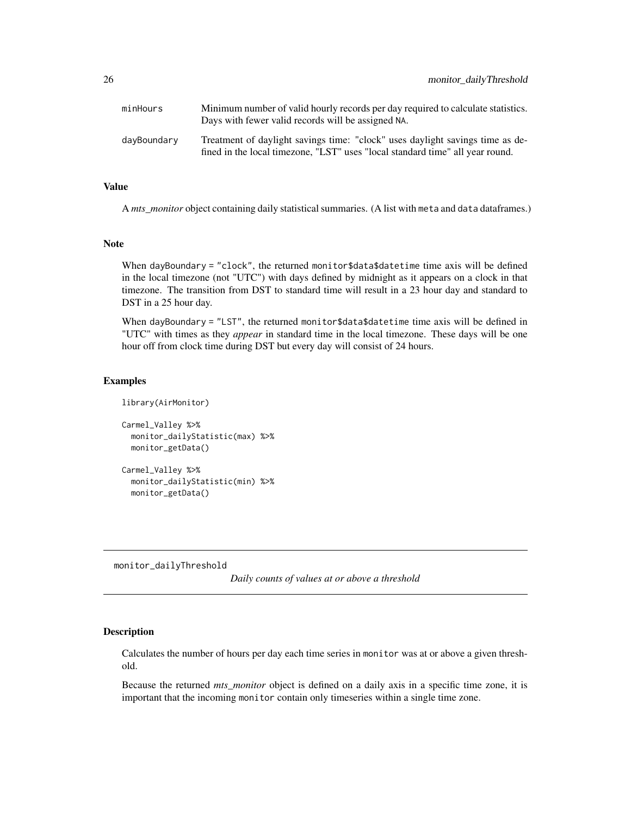<span id="page-25-0"></span>

| minHours    | Minimum number of valid hourly records per day required to calculate statistics.<br>Days with fewer valid records will be assigned NA.                         |
|-------------|----------------------------------------------------------------------------------------------------------------------------------------------------------------|
| davBoundary | Treatment of daylight savings time: "clock" uses daylight savings time as de-<br>fined in the local timezone, "LST" uses "local standard time" all year round. |

# Value

A *mts\_monitor* object containing daily statistical summaries. (A list with meta and data dataframes.)

# Note

When dayBoundary = "clock", the returned monitor \$data\$datetime time axis will be defined in the local timezone (not "UTC") with days defined by midnight as it appears on a clock in that timezone. The transition from DST to standard time will result in a 23 hour day and standard to DST in a 25 hour day.

When dayBoundary = "LST", the returned monitor\$data\$datetime time axis will be defined in "UTC" with times as they *appear* in standard time in the local timezone. These days will be one hour off from clock time during DST but every day will consist of 24 hours.

# Examples

```
library(AirMonitor)
Carmel_Valley %>%
 monitor_dailyStatistic(max) %>%
 monitor_getData()
Carmel_Valley %>%
```
monitor\_dailyStatistic(min) %>% monitor\_getData()

monitor\_dailyThreshold

*Daily counts of values at or above a threshold*

#### Description

Calculates the number of hours per day each time series in monitor was at or above a given threshold.

Because the returned *mts\_monitor* object is defined on a daily axis in a specific time zone, it is important that the incoming monitor contain only timeseries within a single time zone.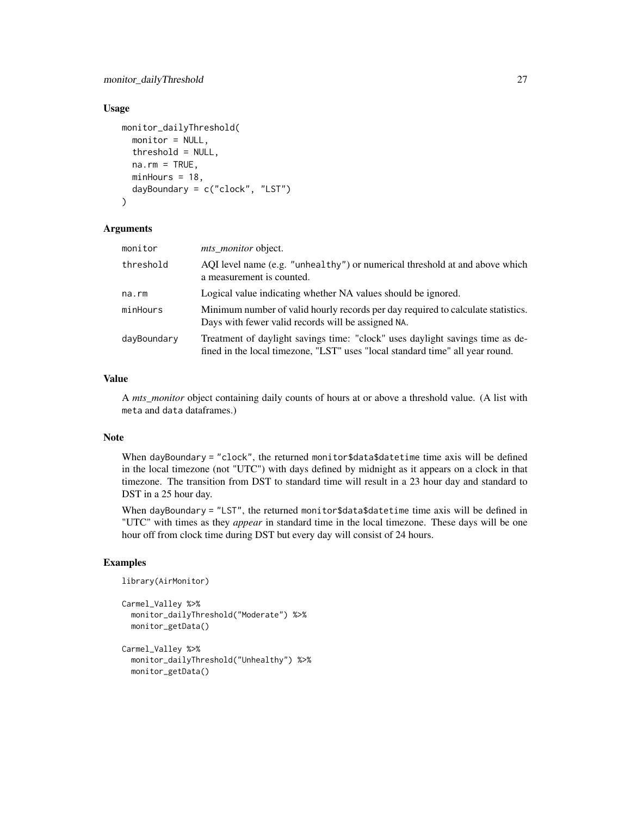#### Usage

```
monitor_dailyThreshold(
  monitor = NULL,
  threshold = NULL,na.rm = TRUE,minHours = 18,
  dayBoundary = c("clock", "LST")
)
```
#### Arguments

| monitor     | <i>mts monitor</i> object.                                                                                                                                     |
|-------------|----------------------------------------------------------------------------------------------------------------------------------------------------------------|
| threshold   | AQI level name (e.g. "unhealthy") or numerical threshold at and above which<br>a measurement is counted.                                                       |
| na.rm       | Logical value indicating whether NA values should be ignored.                                                                                                  |
| minHours    | Minimum number of valid hourly records per day required to calculate statistics.<br>Days with fewer valid records will be assigned NA.                         |
| dayBoundary | Treatment of daylight savings time: "clock" uses daylight savings time as de-<br>fined in the local timezone, "LST" uses "local standard time" all year round. |

#### Value

A *mts\_monitor* object containing daily counts of hours at or above a threshold value. (A list with meta and data dataframes.)

#### Note

When dayBoundary = "clock", the returned monitor\$data\$datetime time axis will be defined in the local timezone (not "UTC") with days defined by midnight as it appears on a clock in that timezone. The transition from DST to standard time will result in a 23 hour day and standard to DST in a 25 hour day.

When dayBoundary = "LST", the returned monitor\$data\$datetime time axis will be defined in "UTC" with times as they *appear* in standard time in the local timezone. These days will be one hour off from clock time during DST but every day will consist of 24 hours.

#### Examples

```
library(AirMonitor)
Carmel_Valley %>%
 monitor_dailyThreshold("Moderate") %>%
 monitor_getData()
Carmel_Valley %>%
 monitor_dailyThreshold("Unhealthy") %>%
```
monitor\_getData()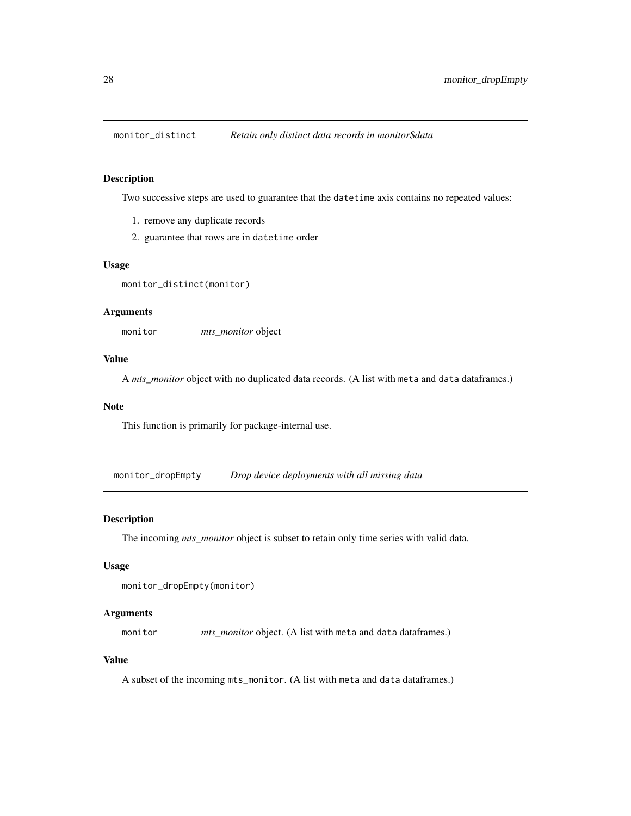<span id="page-27-0"></span>

#### Description

Two successive steps are used to guarantee that the datetime axis contains no repeated values:

- 1. remove any duplicate records
- 2. guarantee that rows are in datetime order

#### Usage

```
monitor_distinct(monitor)
```
# Arguments

monitor *mts\_monitor* object

# Value

A *mts\_monitor* object with no duplicated data records. (A list with meta and data dataframes.)

#### Note

This function is primarily for package-internal use.

monitor\_dropEmpty *Drop device deployments with all missing data*

#### Description

The incoming *mts\_monitor* object is subset to retain only time series with valid data.

# Usage

```
monitor_dropEmpty(monitor)
```
# Arguments

monitor *mts\_monitor* object. (A list with meta and data dataframes.)

# Value

A subset of the incoming mts\_monitor. (A list with meta and data dataframes.)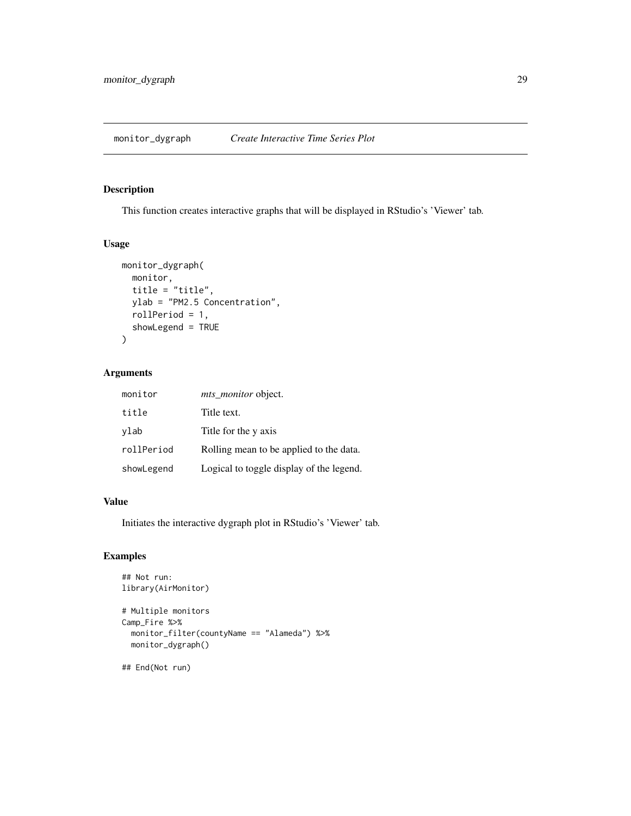<span id="page-28-0"></span>

# Description

This function creates interactive graphs that will be displayed in RStudio's 'Viewer' tab.

# Usage

```
monitor_dygraph(
  monitor,
  title = "title",
  ylab = "PM2.5 Concentration",
  rollPeriod = 1,
  showLegend = TRUE
\mathcal{L}
```
# Arguments

| monitor    | mts_monitor object.                      |
|------------|------------------------------------------|
| title      | Title text.                              |
| vlab       | Title for the y axis                     |
| rollPeriod | Rolling mean to be applied to the data.  |
| showLegend | Logical to toggle display of the legend. |

#### Value

Initiates the interactive dygraph plot in RStudio's 'Viewer' tab.

# Examples

```
## Not run:
library(AirMonitor)
# Multiple monitors
Camp_Fire %>%
  monitor_filter(countyName == "Alameda") %>%
  monitor_dygraph()
## End(Not run)
```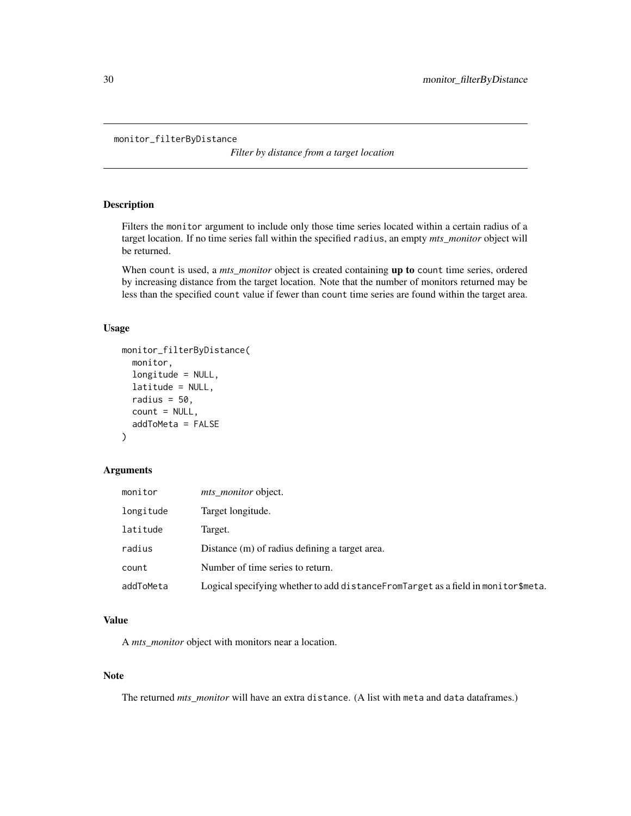```
monitor_filterByDistance
```
*Filter by distance from a target location*

# Description

Filters the monitor argument to include only those time series located within a certain radius of a target location. If no time series fall within the specified radius, an empty *mts\_monitor* object will be returned.

When count is used, a *mts\_monitor* object is created containing **up to** count time series, ordered by increasing distance from the target location. Note that the number of monitors returned may be less than the specified count value if fewer than count time series are found within the target area.

# Usage

```
monitor_filterByDistance(
  monitor,
  longitude = NULL,
  latitude = NULL,
  radius = 50,
  count = NULL,addToMeta = FALSE
)
```
# Arguments

| monitor   | <i>mts monitor</i> object.                                                           |
|-----------|--------------------------------------------------------------------------------------|
| longitude | Target longitude.                                                                    |
| latitude  | Target.                                                                              |
| radius    | Distance (m) of radius defining a target area.                                       |
| count     | Number of time series to return.                                                     |
| addToMeta | Logical specifying whether to add distance From Target as a field in monitor \$meta. |

#### Value

A *mts\_monitor* object with monitors near a location.

# Note

The returned *mts\_monitor* will have an extra distance. (A list with meta and data dataframes.)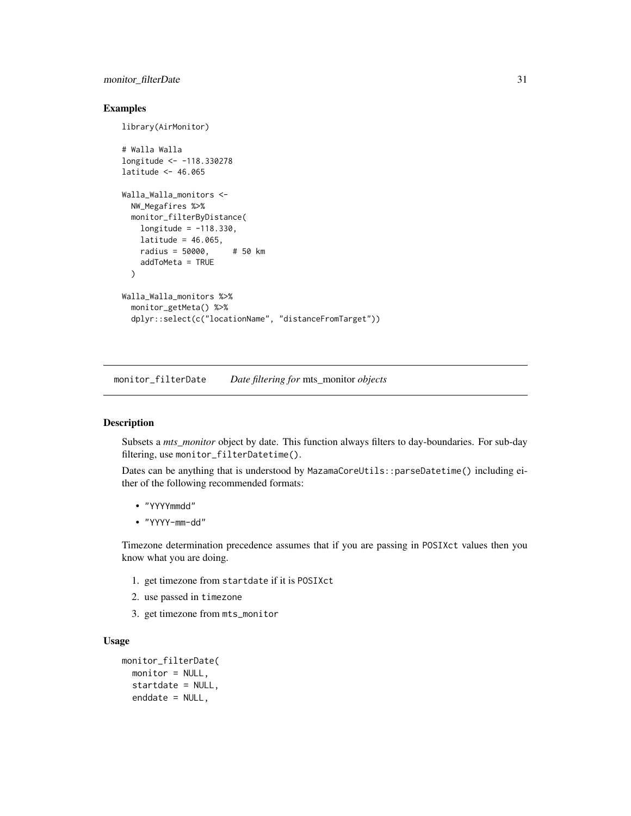# <span id="page-30-0"></span>monitor\_filterDate 31

#### Examples

library(AirMonitor)

```
# Walla Walla
longitude <- -118.330278
latitude <- 46.065
Walla_Walla_monitors <-
  NW_Megafires %>%
  monitor_filterByDistance(
   longitude = -118.330,
   lattice = 46.065,
   radius = 50000, # 50 km
   addToMeta = TRUE
  \lambdaWalla_Walla_monitors %>%
  monitor_getMeta() %>%
  dplyr::select(c("locationName", "distanceFromTarget"))
```
<span id="page-30-1"></span>monitor\_filterDate *Date filtering for* mts\_monitor *objects*

# Description

Subsets a *mts\_monitor* object by date. This function always filters to day-boundaries. For sub-day filtering, use monitor\_filterDatetime().

Dates can be anything that is understood by MazamaCoreUtils::parseDatetime() including either of the following recommended formats:

- "YYYYmmdd"
- "YYYY-mm-dd"

Timezone determination precedence assumes that if you are passing in POSIXct values then you know what you are doing.

- 1. get timezone from startdate if it is POSIXct
- 2. use passed in timezone
- 3. get timezone from mts\_monitor

#### Usage

```
monitor_filterDate(
 monitor = NULL,
  startdate = NULL,
  enddate = NULL,
```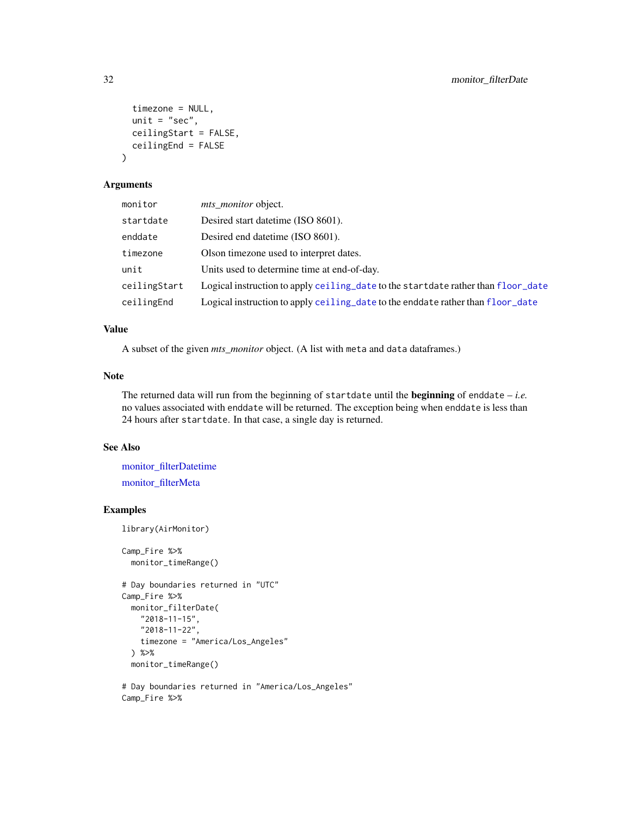```
timezone = NULL,
  unit = "sec",ceilingStart = FALSE,
  ceilingEnd = FALSE
\lambda
```
#### Arguments

| monitor      | mts monitor object.                                                               |
|--------------|-----------------------------------------------------------------------------------|
| startdate    | Desired start date time (ISO 8601).                                               |
| enddate      | Desired end date time (ISO 8601).                                                 |
| timezone     | Olson timezone used to interpret dates.                                           |
| unit         | Units used to determine time at end-of-day.                                       |
| ceilingStart | Logical instruction to apply ceiling_date to the startdate rather than floor_date |
| ceilingEnd   | Logical instruction to apply ceiling_date to the enddate rather than floor_date   |

# Value

A subset of the given *mts\_monitor* object. (A list with meta and data dataframes.)

# Note

The returned data will run from the beginning of startdate until the beginning of enddate – *i.e.* no values associated with enddate will be returned. The exception being when enddate is less than 24 hours after startdate. In that case, a single day is returned.

# See Also

[monitor\\_filterDatetime](#page-32-1) [monitor\\_filterMeta](#page-33-1)

# Examples

library(AirMonitor)

```
Camp_Fire %>%
 monitor_timeRange()
```

```
# Day boundaries returned in "UTC"
Camp_Fire %>%
 monitor_filterDate(
   "2018-11-15",
   "2018-11-22",
   timezone = "America/Los_Angeles"
 ) %>%
 monitor_timeRange()
```

```
# Day boundaries returned in "America/Los_Angeles"
Camp_Fire %>%
```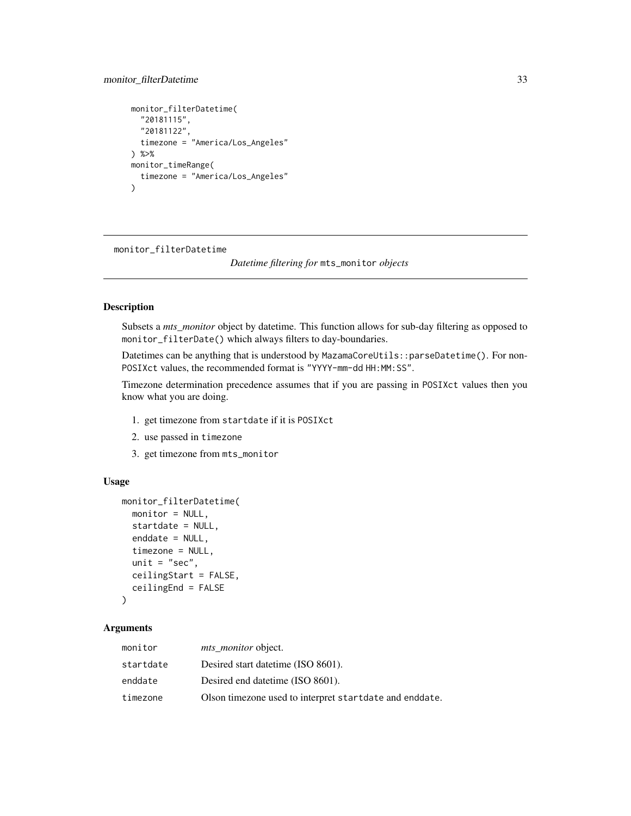# <span id="page-32-0"></span>monitor\_filterDatetime 33

```
monitor_filterDatetime(
  "20181115",
  "20181122",
 timezone = "America/Los_Angeles"
) %>%
monitor_timeRange(
 timezone = "America/Los_Angeles"
)
```
<span id="page-32-1"></span>monitor\_filterDatetime

*Datetime filtering for* mts\_monitor *objects*

#### Description

Subsets a *mts\_monitor* object by datetime. This function allows for sub-day filtering as opposed to monitor\_filterDate() which always filters to day-boundaries.

Datetimes can be anything that is understood by MazamaCoreUtils::parseDatetime(). For non-POSIXct values, the recommended format is "YYYY-mm-dd HH:MM:SS".

Timezone determination precedence assumes that if you are passing in POSIXct values then you know what you are doing.

- 1. get timezone from startdate if it is POSIXct
- 2. use passed in timezone
- 3. get timezone from mts\_monitor

# Usage

```
monitor_filterDatetime(
  monitor = NULL,startdate = NULL,
  enddate = NULL,
  timezone = NULL,
  unit = "sec",ceilingStart = FALSE,
  ceilingEnd = FALSE
)
```
# Arguments

| monitor   | <i>mts_monitor</i> object.                              |
|-----------|---------------------------------------------------------|
| startdate | Desired start date time (ISO 8601).                     |
| enddate   | Desired end date time (ISO 8601).                       |
| timezone  | Olson timezone used to interpret startdate and enddate. |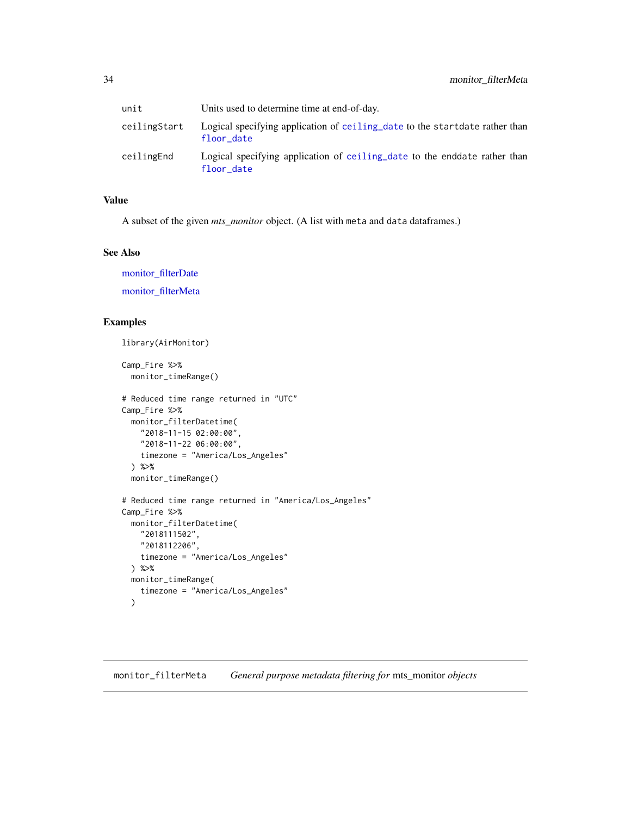<span id="page-33-0"></span>

| unit         | Units used to determine time at end-of-day.                                               |
|--------------|-------------------------------------------------------------------------------------------|
| ceilingStart | Logical specifying application of ceiling date to the startdate rather than<br>floor date |
| ceilingEnd   | Logical specifying application of ceiling date to the enddate rather than<br>floor date   |

# Value

A subset of the given *mts\_monitor* object. (A list with meta and data dataframes.)

#### See Also

[monitor\\_filterDate](#page-30-1) [monitor\\_filterMeta](#page-33-1)

# Examples

library(AirMonitor)

Camp\_Fire %>% monitor\_timeRange()

```
# Reduced time range returned in "UTC"
Camp_Fire %>%
  monitor_filterDatetime(
   "2018-11-15 02:00:00",
   "2018-11-22 06:00:00",
   timezone = "America/Los_Angeles"
  ) %>%
  monitor_timeRange()
# Reduced time range returned in "America/Los_Angeles"
Camp_Fire %>%
  monitor_filterDatetime(
   "2018111502",
   "2018112206",
   timezone = "America/Los_Angeles"
  ) %>%
  monitor_timeRange(
   timezone = "America/Los_Angeles"
  \lambda
```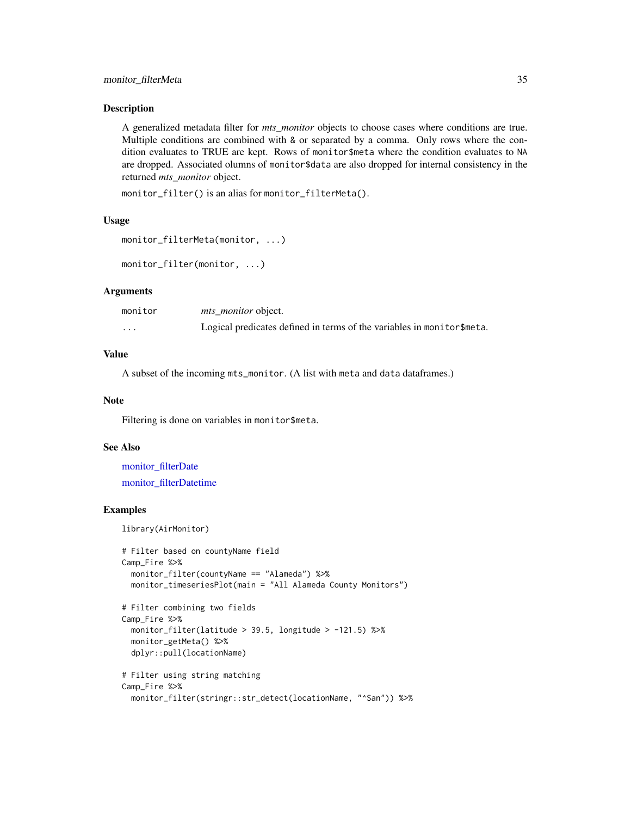# <span id="page-34-0"></span>monitor\_filterMeta 35

#### Description

A generalized metadata filter for *mts\_monitor* objects to choose cases where conditions are true. Multiple conditions are combined with & or separated by a comma. Only rows where the condition evaluates to TRUE are kept. Rows of monitor\$meta where the condition evaluates to NA are dropped. Associated olumns of monitor\$data are also dropped for internal consistency in the returned *mts\_monitor* object.

monitor\_filter() is an alias for monitor\_filterMeta().

#### Usage

```
monitor_filterMeta(monitor, ...)
```

```
monitor_filter(monitor, ...)
```
# Arguments

| monitor  | <i>mts monitor</i> object.                                              |
|----------|-------------------------------------------------------------------------|
| $\cdots$ | Logical predicates defined in terms of the variables in monitor \$meta. |

# Value

A subset of the incoming mts\_monitor. (A list with meta and data dataframes.)

#### Note

Filtering is done on variables in monitor\$meta.

# See Also

[monitor\\_filterDate](#page-30-1) [monitor\\_filterDatetime](#page-32-1)

# Examples

library(AirMonitor)

```
# Filter based on countyName field
Camp_Fire %>%
 monitor_filter(countyName == "Alameda") %>%
 monitor_timeseriesPlot(main = "All Alameda County Monitors")
# Filter combining two fields
Camp_Fire %>%
 monitor_filter(latitude > 39.5, longitude > -121.5) %>%
 monitor_getMeta() %>%
 dplyr::pull(locationName)
# Filter using string matching
Camp_Fire %>%
 monitor_filter(stringr::str_detect(locationName, "^San")) %>%
```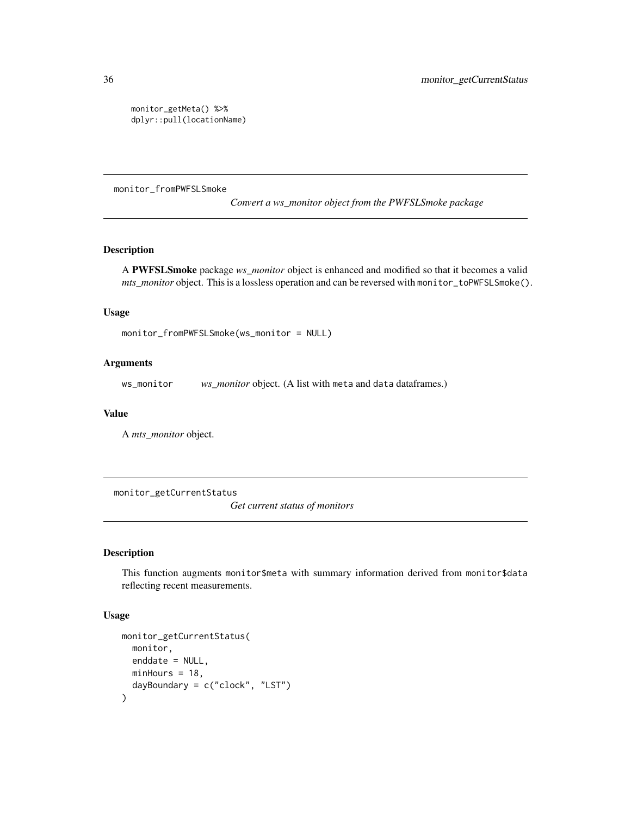monitor\_getMeta() %>% dplyr::pull(locationName)

monitor\_fromPWFSLSmoke

*Convert a ws\_monitor object from the PWFSLSmoke package*

# Description

A PWFSLSmoke package *ws\_monitor* object is enhanced and modified so that it becomes a valid *mts\_monitor* object. This is a lossless operation and can be reversed with monitor\_toPWFSLSmoke().

#### Usage

```
monitor_fromPWFSLSmoke(ws_monitor = NULL)
```
# Arguments

ws\_monitor *ws\_monitor* object. (A list with meta and data dataframes.)

#### Value

A *mts\_monitor* object.

monitor\_getCurrentStatus

*Get current status of monitors*

# Description

This function augments monitor\$meta with summary information derived from monitor\$data reflecting recent measurements.

#### Usage

```
monitor_getCurrentStatus(
 monitor,
  enddate = NULL,
 minHours = 18,
  dayBoundary = c("clock", "LST")
)
```
<span id="page-35-0"></span>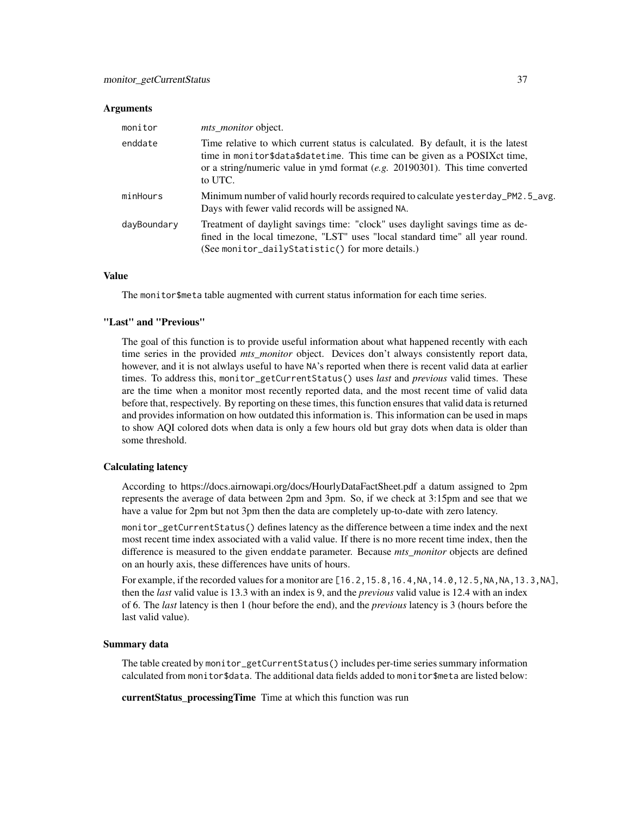#### **Arguments**

| monitor     | <i>mts monitor</i> object.                                                                                                                                                                                                                                    |
|-------------|---------------------------------------------------------------------------------------------------------------------------------------------------------------------------------------------------------------------------------------------------------------|
| enddate     | Time relative to which current status is calculated. By default, it is the latest<br>time in monitor\$data\$datetime. This time can be given as a POSIXct time,<br>or a string/numeric value in ymd format $(e.g. 20190301)$ . This time converted<br>to UTC. |
| minHours    | Minimum number of valid hourly records required to calculate yesterday_PM2.5_avg.<br>Days with fewer valid records will be assigned NA.                                                                                                                       |
| dayBoundary | Treatment of daylight savings time: "clock" uses daylight savings time as de-<br>fined in the local timezone, "LST" uses "local standard time" all year round.<br>(See monitor_dailyStatistic() for more details.)                                            |

#### Value

The monitor\$meta table augmented with current status information for each time series.

# "Last" and "Previous"

The goal of this function is to provide useful information about what happened recently with each time series in the provided *mts\_monitor* object. Devices don't always consistently report data, however, and it is not alwlays useful to have NA's reported when there is recent valid data at earlier times. To address this, monitor\_getCurrentStatus() uses *last* and *previous* valid times. These are the time when a monitor most recently reported data, and the most recent time of valid data before that, respectively. By reporting on these times, this function ensures that valid data is returned and provides information on how outdated this information is. This information can be used in maps to show AQI colored dots when data is only a few hours old but gray dots when data is older than some threshold.

#### Calculating latency

According to https://docs.airnowapi.org/docs/HourlyDataFactSheet.pdf a datum assigned to 2pm represents the average of data between 2pm and 3pm. So, if we check at 3:15pm and see that we have a value for 2pm but not 3pm then the data are completely up-to-date with zero latency.

monitor\_getCurrentStatus() defines latency as the difference between a time index and the next most recent time index associated with a valid value. If there is no more recent time index, then the difference is measured to the given enddate parameter. Because *mts\_monitor* objects are defined on an hourly axis, these differences have units of hours.

For example, if the recorded values for a monitor are [16.2,15.8,16.4,NA,14.0,12.5,NA,NA,13.3,NA], then the *last* valid value is 13.3 with an index is 9, and the *previous* valid value is 12.4 with an index of 6. The *last* latency is then 1 (hour before the end), and the *previous* latency is 3 (hours before the last valid value).

#### Summary data

The table created by monitor\_getCurrentStatus() includes per-time series summary information calculated from monitor\$data. The additional data fields added to monitor\$meta are listed below:

currentStatus\_processingTime Time at which this function was run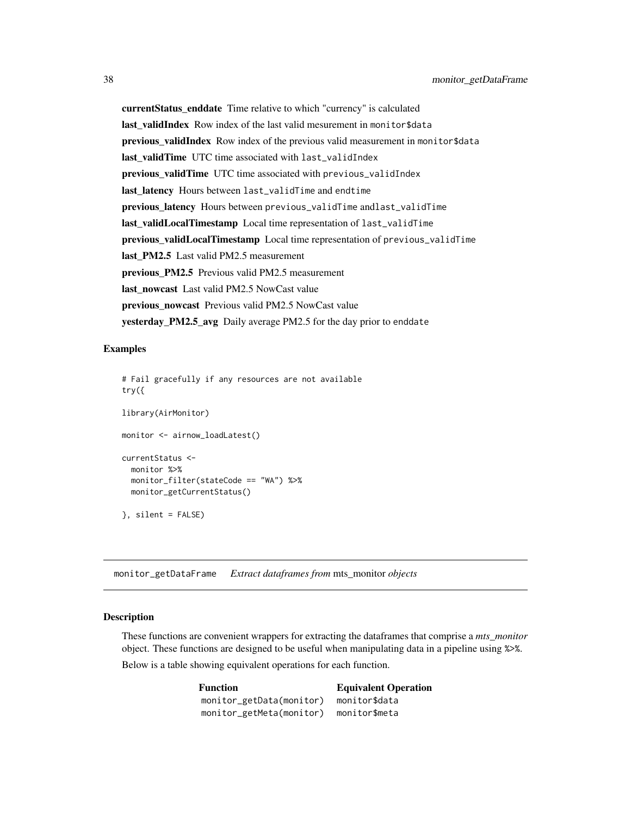currentStatus\_enddate Time relative to which "currency" is calculated last\_validIndex Row index of the last valid mesurement in monitor\$data previous\_validIndex Row index of the previous valid measurement in monitor\$data last\_validTime UTC time associated with last\_validIndex previous\_validTime UTC time associated with previous\_validIndex last\_latency Hours between last\_validTime and endtime previous latency Hours between previous\_validTime andlast\_validTime last\_validLocalTimestamp Local time representation of last\_validTime previous validLocalTimestamp Local time representation of previous\_validTime last\_PM2.5 Last valid PM2.5 measurement previous\_PM2.5 Previous valid PM2.5 measurement last\_nowcast Last valid PM2.5 NowCast value previous\_nowcast Previous valid PM2.5 NowCast value yesterday\_PM2.5\_avg Daily average PM2.5 for the day prior to enddate

#### Examples

```
# Fail gracefully if any resources are not available
try({
library(AirMonitor)
monitor <- airnow_loadLatest()
currentStatus <-
 monitor %>%
 monitor_filter(stateCode == "WA") %>%
 monitor_getCurrentStatus()
}, silent = FALSE)
```
monitor\_getDataFrame *Extract dataframes from* mts\_monitor *objects*

# Description

These functions are convenient wrappers for extracting the dataframes that comprise a *mts\_monitor* object. These functions are designed to be useful when manipulating data in a pipeline using %>%.

Below is a table showing equivalent operations for each function.

| <b>Function</b>          | <b>Equivalent Operation</b> |  |
|--------------------------|-----------------------------|--|
| monitor_getData(monitor) | monitor\$data               |  |
| monitor_getMeta(monitor) | monitor\$meta               |  |

<span id="page-37-0"></span>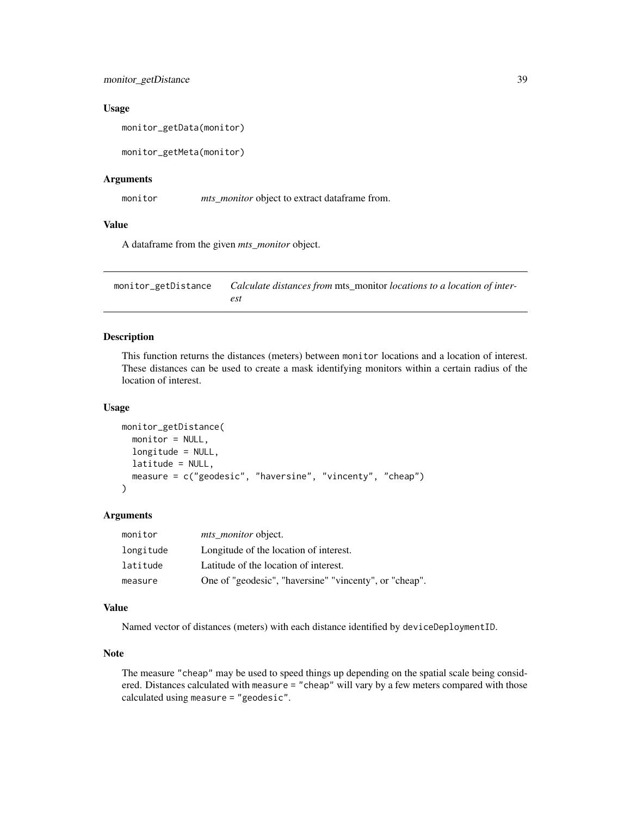<span id="page-38-0"></span>monitor\_getDistance 39

#### Usage

monitor\_getData(monitor)

monitor\_getMeta(monitor)

# Arguments

monitor *mts\_monitor* object to extract dataframe from.

# Value

A dataframe from the given *mts\_monitor* object.

monitor\_getDistance *Calculate distances from* mts\_monitor *locations to a location of interest*

#### Description

This function returns the distances (meters) between monitor locations and a location of interest. These distances can be used to create a mask identifying monitors within a certain radius of the location of interest.

#### Usage

```
monitor_getDistance(
 monitor = NULL,
  longitude = NULL,
  latitude = NULL,
  measure = c("geodesic", "haversine", "vincenty", "cheap")
)
```
#### Arguments

| monitor   | <i>mts_monitor</i> object.                             |
|-----------|--------------------------------------------------------|
| longitude | Longitude of the location of interest.                 |
| latitude  | Latitude of the location of interest.                  |
| measure   | One of "geodesic", "haversine" "vincenty", or "cheap". |

#### Value

Named vector of distances (meters) with each distance identified by deviceDeploymentID.

# Note

The measure "cheap" may be used to speed things up depending on the spatial scale being considered. Distances calculated with measure = "cheap" will vary by a few meters compared with those calculated using measure = "geodesic".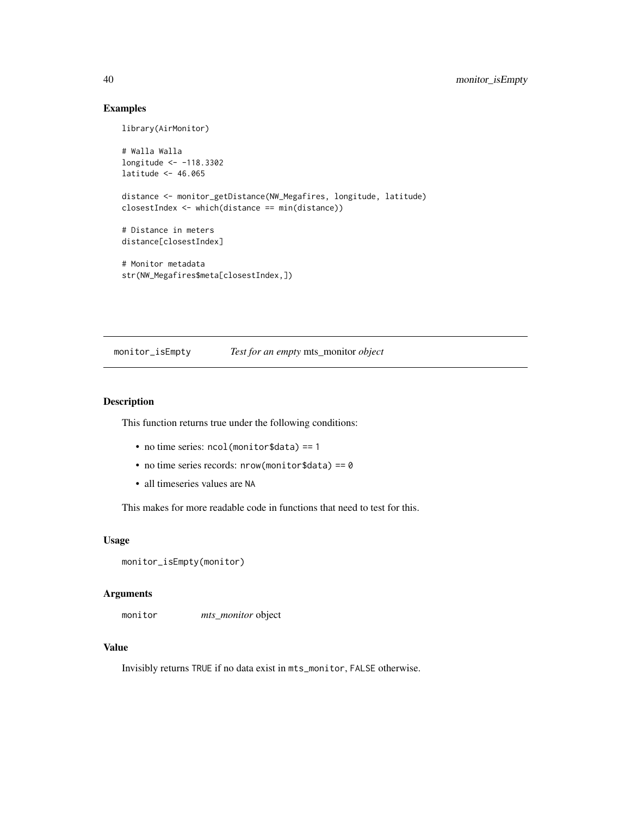#### Examples

library(AirMonitor)

```
# Walla Walla
longitude <- -118.3302
latitude <- 46.065
distance <- monitor_getDistance(NW_Megafires, longitude, latitude)
closestIndex <- which(distance == min(distance))
# Distance in meters
distance[closestIndex]
# Monitor metadata
str(NW_Megafires$meta[closestIndex,])
```
monitor\_isEmpty *Test for an empty* mts\_monitor *object*

#### Description

This function returns true under the following conditions:

- no time series: ncol(monitor\$data) == 1
- no time series records:  $nrow(mointor$data) == 0$
- all timeseries values are NA

This makes for more readable code in functions that need to test for this.

#### Usage

```
monitor_isEmpty(monitor)
```
#### Arguments

monitor *mts\_monitor* object

#### Value

Invisibly returns TRUE if no data exist in mts\_monitor, FALSE otherwise.

<span id="page-39-0"></span>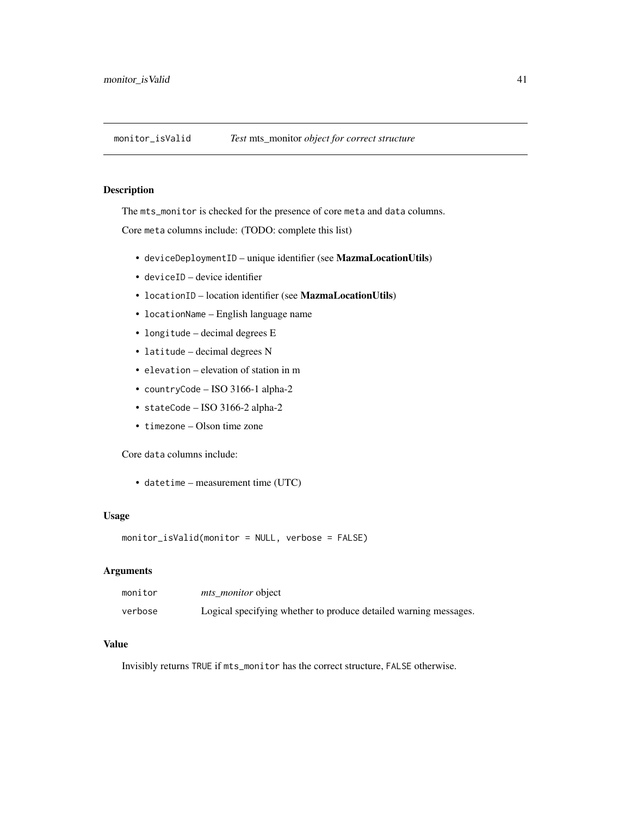<span id="page-40-0"></span>monitor\_isValid *Test* mts\_monitor *object for correct structure*

# Description

The mts\_monitor is checked for the presence of core meta and data columns.

Core meta columns include: (TODO: complete this list)

- deviceDeploymentID unique identifier (see MazmaLocationUtils)
- deviceID device identifier
- locationID location identifier (see MazmaLocationUtils)
- locationName English language name
- longitude decimal degrees E
- latitude decimal degrees N
- elevation elevation of station in m
- countryCode ISO 3166-1 alpha-2
- stateCode ISO 3166-2 alpha-2
- timezone Olson time zone

Core data columns include:

• datetime – measurement time (UTC)

#### Usage

monitor\_isValid(monitor = NULL, verbose = FALSE)

#### Arguments

| monitor | <i>mts monitor</i> object                                        |
|---------|------------------------------------------------------------------|
| verbose | Logical specifying whether to produce detailed warning messages. |

#### Value

Invisibly returns TRUE if mts\_monitor has the correct structure, FALSE otherwise.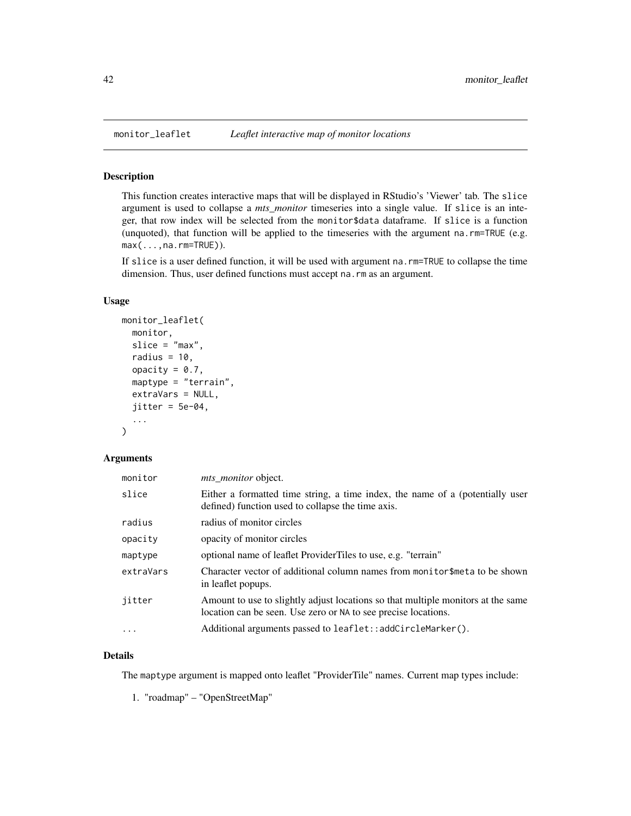#### Description

This function creates interactive maps that will be displayed in RStudio's 'Viewer' tab. The slice argument is used to collapse a *mts\_monitor* timeseries into a single value. If slice is an integer, that row index will be selected from the monitor\$data dataframe. If slice is a function (unquoted), that function will be applied to the timeseries with the argument na.rm=TRUE (e.g.  $max(...,na,rm=TRUE)$ ).

If slice is a user defined function, it will be used with argument na.rm=TRUE to collapse the time dimension. Thus, user defined functions must accept na.rm as an argument.

#### Usage

```
monitor_leaflet(
  monitor,
  slice = "max",
  radius = 10,
  opacity = 0.7,
  maptype = "terrain",
  extraVars = NULL,
  jitter = 5e-04,...
\mathcal{L}
```
# Arguments

| monitor   | <i>mts_monitor</i> object.                                                                                                                         |
|-----------|----------------------------------------------------------------------------------------------------------------------------------------------------|
| slice     | Either a formatted time string, a time index, the name of a (potentially user<br>defined) function used to collapse the time axis.                 |
| radius    | radius of monitor circles                                                                                                                          |
| opacity   | opacity of monitor circles                                                                                                                         |
| maptype   | optional name of leaflet ProviderTiles to use, e.g. "terrain"                                                                                      |
| extraVars | Character vector of additional column names from monitor\$meta to be shown<br>in leaflet popups.                                                   |
| jitter    | Amount to use to slightly adjust locations so that multiple monitors at the same<br>location can be seen. Use zero or NA to see precise locations. |
| $\cdot$   | Additional arguments passed to leaflet::addCircleMarker().                                                                                         |

#### Details

The maptype argument is mapped onto leaflet "ProviderTile" names. Current map types include:

1. "roadmap" – "OpenStreetMap"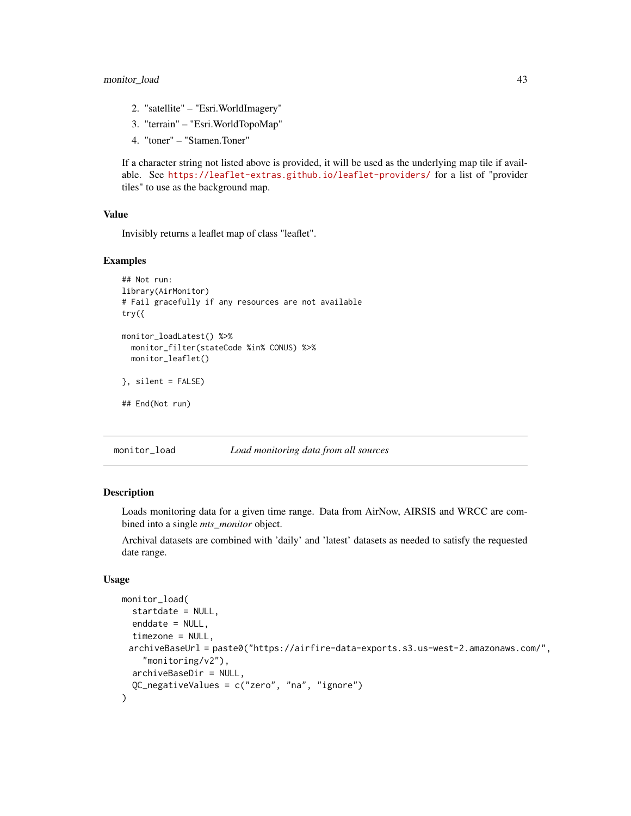- <span id="page-42-0"></span>2. "satellite" – "Esri.WorldImagery"
- 3. "terrain" "Esri.WorldTopoMap"
- 4. "toner" "Stamen.Toner"

If a character string not listed above is provided, it will be used as the underlying map tile if available. See <https://leaflet-extras.github.io/leaflet-providers/> for a list of "provider tiles" to use as the background map.

#### Value

Invisibly returns a leaflet map of class "leaflet".

#### Examples

```
## Not run:
library(AirMonitor)
# Fail gracefully if any resources are not available
try({
monitor_loadLatest() %>%
  monitor_filter(stateCode %in% CONUS) %>%
  monitor_leaflet()
}, silent = FALSE)
## End(Not run)
```
monitor\_load *Load monitoring data from all sources*

# Description

Loads monitoring data for a given time range. Data from AirNow, AIRSIS and WRCC are combined into a single *mts\_monitor* object.

Archival datasets are combined with 'daily' and 'latest' datasets as needed to satisfy the requested date range.

#### Usage

```
monitor_load(
  startdate = NULL,
  enddate = NULL,
  timezone = NULL,
 archiveBaseUrl = paste0("https://airfire-data-exports.s3.us-west-2.amazonaws.com/",
    "monitoring/v2"),
  archiveBaseDir = NULL,
  QC_negativeValues = c("zero", "na", "ignore")
)
```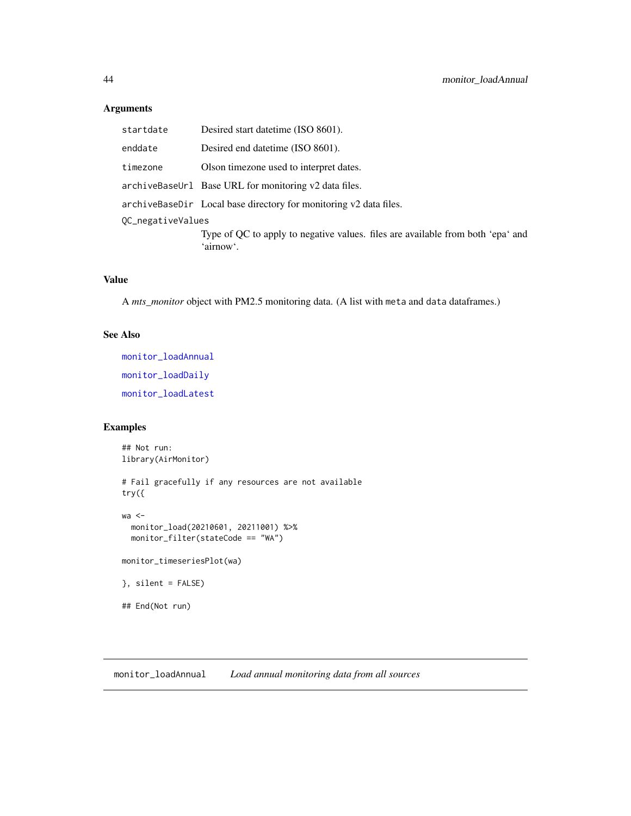# <span id="page-43-0"></span>Arguments

| startdate         | Desired start date time (ISO 8601).                                                          |  |
|-------------------|----------------------------------------------------------------------------------------------|--|
| enddate           | Desired end date time (ISO 8601).                                                            |  |
| timezone          | Olson timezone used to interpret dates.                                                      |  |
|                   | archiveBaseUrl Base URL for monitoring v2 data files.                                        |  |
|                   | archiveBaseDir Local base directory for monitoring v2 data files.                            |  |
| OC_negativeValues |                                                                                              |  |
|                   | Type of QC to apply to negative values. files are available from both 'epa' and<br>'airnow'. |  |

# Value

A *mts\_monitor* object with PM2.5 monitoring data. (A list with meta and data dataframes.)

# See Also

[monitor\\_loadAnnual](#page-43-1) [monitor\\_loadDaily](#page-45-1) [monitor\\_loadLatest](#page-46-1)

# Examples

```
## Not run:
library(AirMonitor)
# Fail gracefully if any resources are not available
try({
wa <-
  monitor_load(20210601, 20211001) %>%
  monitor_filter(stateCode == "WA")
monitor_timeseriesPlot(wa)
}, silent = FALSE)
## End(Not run)
```
<span id="page-43-1"></span>monitor\_loadAnnual *Load annual monitoring data from all sources*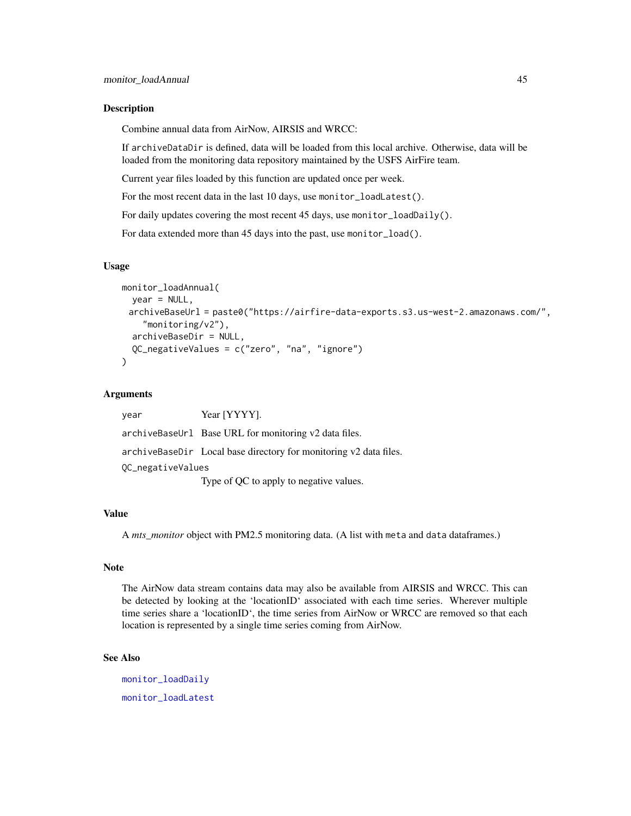#### <span id="page-44-0"></span>Description

Combine annual data from AirNow, AIRSIS and WRCC:

If archiveDataDir is defined, data will be loaded from this local archive. Otherwise, data will be loaded from the monitoring data repository maintained by the USFS AirFire team.

Current year files loaded by this function are updated once per week.

For the most recent data in the last 10 days, use monitor\_loadLatest().

For daily updates covering the most recent 45 days, use monitor\_loadDaily().

For data extended more than 45 days into the past, use monitor\_load().

# Usage

```
monitor_loadAnnual(
 year = NULL,
 archiveBaseUrl = paste0("https://airfire-data-exports.s3.us-west-2.amazonaws.com/",
    "monitoring/v2"),
  archiveBaseDir = NULL,
  QC_negativeValues = c("zero", "na", "ignore")
)
```
# Arguments

| year              | Year [YYYY].                                                      |
|-------------------|-------------------------------------------------------------------|
|                   | archiveBaseUrl Base URL for monitoring v2 data files.             |
|                   | archiveBaseDir Local base directory for monitoring v2 data files. |
| OC_negativeValues |                                                                   |
|                   | Type of QC to apply to negative values.                           |

#### Value

A *mts\_monitor* object with PM2.5 monitoring data. (A list with meta and data dataframes.)

#### Note

The AirNow data stream contains data may also be available from AIRSIS and WRCC. This can be detected by looking at the 'locationID' associated with each time series. Wherever multiple time series share a 'locationID', the time series from AirNow or WRCC are removed so that each location is represented by a single time series coming from AirNow.

# See Also

[monitor\\_loadDaily](#page-45-1) [monitor\\_loadLatest](#page-46-1)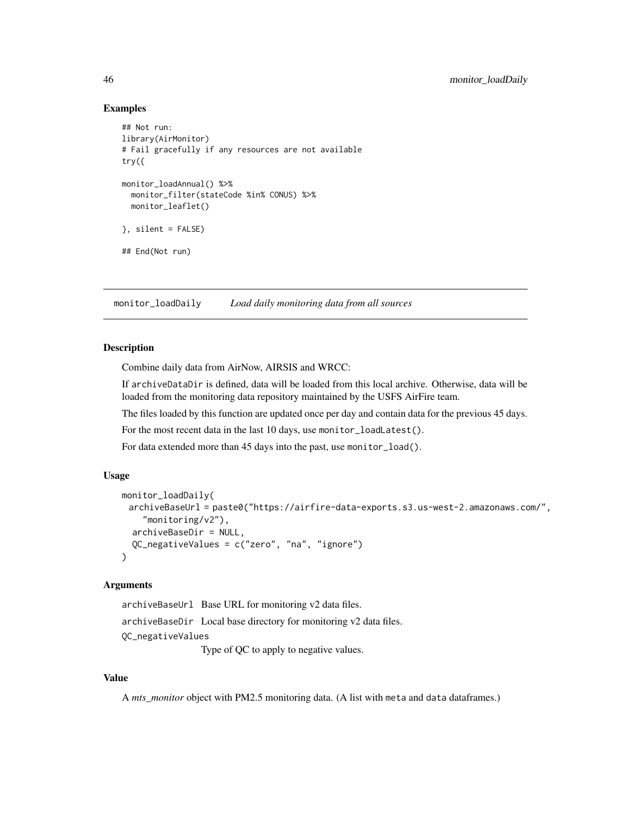# Examples

```
## Not run:
library(AirMonitor)
# Fail gracefully if any resources are not available
try({
monitor_loadAnnual() %>%
  monitor_filter(stateCode %in% CONUS) %>%
  monitor_leaflet()
}, silent = FALSE)
## End(Not run)
```
<span id="page-45-1"></span>monitor\_loadDaily *Load daily monitoring data from all sources*

#### **Description**

Combine daily data from AirNow, AIRSIS and WRCC:

If archiveDataDir is defined, data will be loaded from this local archive. Otherwise, data will be loaded from the monitoring data repository maintained by the USFS AirFire team.

The files loaded by this function are updated once per day and contain data for the previous 45 days.

For the most recent data in the last 10 days, use monitor\_loadLatest().

For data extended more than 45 days into the past, use monitor\_load().

#### Usage

```
monitor_loadDaily(
 archiveBaseUrl = paste0("https://airfire-data-exports.s3.us-west-2.amazonaws.com/",
    "monitoring/v2"),
  archiveBaseDir = NULL,
  QC_negativeValues = c("zero", "na", "ignore")
\lambda
```
# Arguments

archiveBaseUrl Base URL for monitoring v2 data files. archiveBaseDir Local base directory for monitoring v2 data files. QC\_negativeValues Type of QC to apply to negative values.

#### Value

A *mts\_monitor* object with PM2.5 monitoring data. (A list with meta and data dataframes.)

<span id="page-45-0"></span>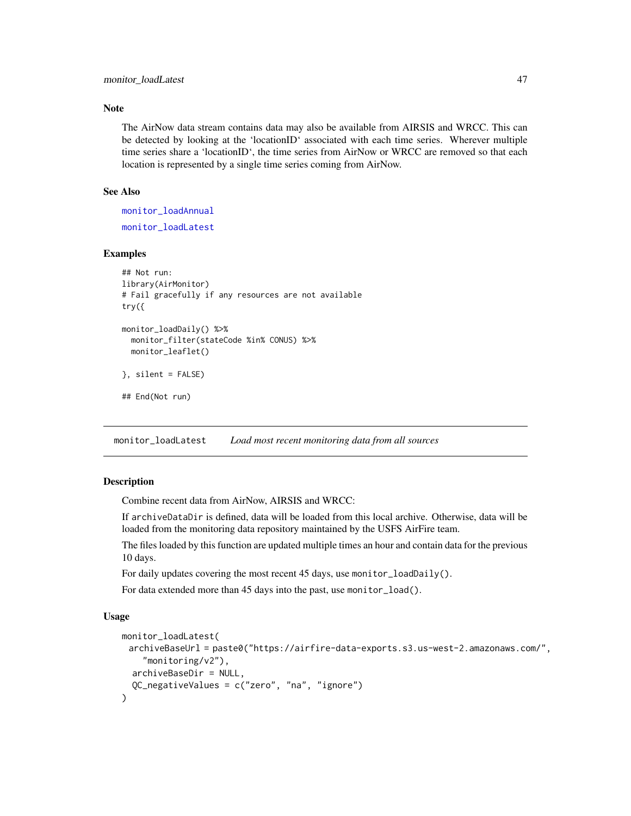# <span id="page-46-0"></span>Note

The AirNow data stream contains data may also be available from AIRSIS and WRCC. This can be detected by looking at the 'locationID' associated with each time series. Wherever multiple time series share a 'locationID', the time series from AirNow or WRCC are removed so that each location is represented by a single time series coming from AirNow.

#### See Also

[monitor\\_loadAnnual](#page-43-1) [monitor\\_loadLatest](#page-46-1)

# Examples

```
## Not run:
library(AirMonitor)
# Fail gracefully if any resources are not available
try({
monitor_loadDaily() %>%
 monitor_filter(stateCode %in% CONUS) %>%
 monitor_leaflet()
}, silent = FALSE)
## End(Not run)
```
<span id="page-46-1"></span>monitor\_loadLatest *Load most recent monitoring data from all sources*

# Description

Combine recent data from AirNow, AIRSIS and WRCC:

If archiveDataDir is defined, data will be loaded from this local archive. Otherwise, data will be loaded from the monitoring data repository maintained by the USFS AirFire team.

The files loaded by this function are updated multiple times an hour and contain data for the previous 10 days.

For daily updates covering the most recent 45 days, use monitor\_loadDaily().

For data extended more than 45 days into the past, use monitor\_load().

# Usage

```
monitor_loadLatest(
 archiveBaseUrl = paste0("https://airfire-data-exports.s3.us-west-2.amazonaws.com/",
    "monitoring/v2"),
  archiveBaseDir = NULL,
  QC_negativeValues = c("zero", "na", "ignore")
)
```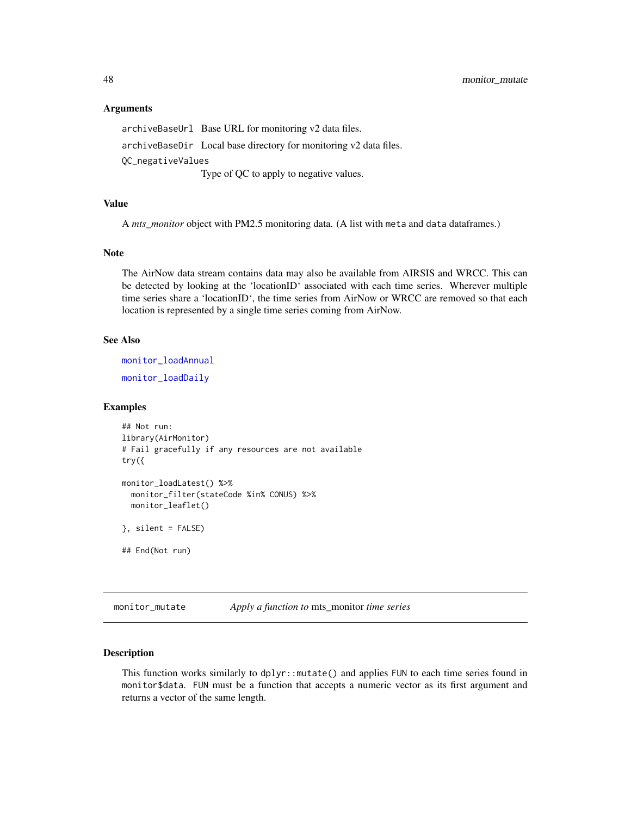#### Arguments

archiveBaseUrl Base URL for monitoring v2 data files. archiveBaseDir Local base directory for monitoring v2 data files. QC\_negativeValues Type of QC to apply to negative values.

#### Value

A *mts\_monitor* object with PM2.5 monitoring data. (A list with meta and data dataframes.)

#### Note

The AirNow data stream contains data may also be available from AIRSIS and WRCC. This can be detected by looking at the 'locationID' associated with each time series. Wherever multiple time series share a 'locationID', the time series from AirNow or WRCC are removed so that each location is represented by a single time series coming from AirNow.

#### See Also

[monitor\\_loadAnnual](#page-43-1)

[monitor\\_loadDaily](#page-45-1)

#### Examples

```
## Not run:
library(AirMonitor)
# Fail gracefully if any resources are not available
try({
monitor_loadLatest() %>%
 monitor_filter(stateCode %in% CONUS) %>%
 monitor_leaflet()
}, silent = FALSE)
## End(Not run)
```
monitor\_mutate *Apply a function to* mts\_monitor *time series*

#### Description

This function works similarly to dplyr::mutate() and applies FUN to each time series found in monitor\$data. FUN must be a function that accepts a numeric vector as its first argument and returns a vector of the same length.

<span id="page-47-0"></span>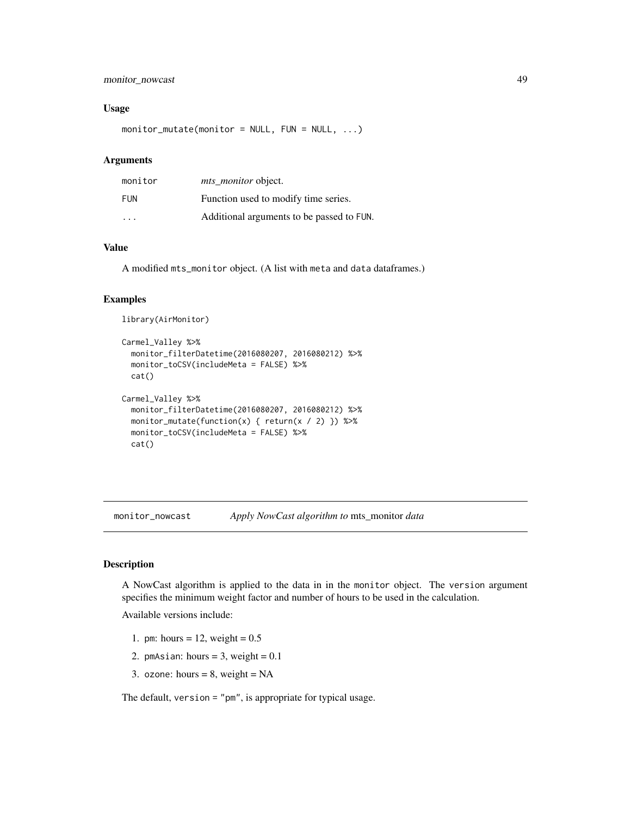# <span id="page-48-0"></span>monitor\_nowcast 49

#### Usage

 $monitor_mutate(monitor = NULL, FUN = NULL, ...)$ 

#### Arguments

| monitor                 | <i>mts monitor</i> object.                |
|-------------------------|-------------------------------------------|
| <b>FUN</b>              | Function used to modify time series.      |
| $\cdot$ $\cdot$ $\cdot$ | Additional arguments to be passed to FUN. |

#### Value

A modified mts\_monitor object. (A list with meta and data dataframes.)

# Examples

library(AirMonitor)

```
Carmel_Valley %>%
 monitor_filterDatetime(2016080207, 2016080212) %>%
 monitor_toCSV(includeMeta = FALSE) %>%
 cat()
Carmel_Valley %>%
 monitor_filterDatetime(2016080207, 2016080212) %>%
 monitor_mutate(function(x) { return(x / 2) }) %>%
 monitor_toCSV(includeMeta = FALSE) %>%
 cat()
```
<span id="page-48-1"></span>monitor\_nowcast *Apply NowCast algorithm to* mts\_monitor *data*

#### Description

A NowCast algorithm is applied to the data in in the monitor object. The version argument specifies the minimum weight factor and number of hours to be used in the calculation.

Available versions include:

- 1. pm: hours = 12, weight =  $0.5$
- 2. pmAsian: hours =  $3$ , weight =  $0.1$
- 3. ozone: hours =  $8$ , weight = NA

The default, version = "pm", is appropriate for typical usage.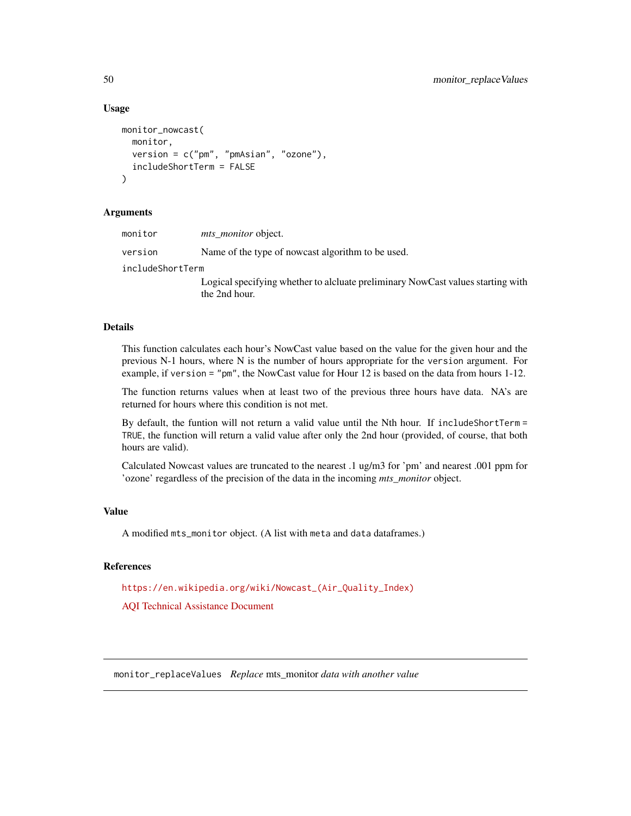#### Usage

```
monitor_nowcast(
 monitor,
 version = c("pm", "pmAsian", "ozone"),
  includeShortTerm = FALSE
)
```
#### Arguments

| monitor          | <i>mts monitor</i> object.                                                                       |
|------------------|--------------------------------------------------------------------------------------------------|
| version          | Name of the type of nowcast algorithm to be used.                                                |
| includeShortTerm |                                                                                                  |
|                  | Logical specifying whether to alcluate preliminary NowCast values starting with<br>the 2nd hour. |

#### Details

This function calculates each hour's NowCast value based on the value for the given hour and the previous N-1 hours, where N is the number of hours appropriate for the version argument. For example, if version = "pm", the NowCast value for Hour 12 is based on the data from hours 1-12.

The function returns values when at least two of the previous three hours have data. NA's are returned for hours where this condition is not met.

By default, the funtion will not return a valid value until the Nth hour. If includeShortTerm = TRUE, the function will return a valid value after only the 2nd hour (provided, of course, that both hours are valid).

Calculated Nowcast values are truncated to the nearest .1 ug/m3 for 'pm' and nearest .001 ppm for 'ozone' regardless of the precision of the data in the incoming *mts\_monitor* object.

# Value

A modified mts\_monitor object. (A list with meta and data dataframes.)

# References

[https://en.wikipedia.org/wiki/Nowcast\\_\(Air\\_Quality\\_Index\)](https://en.wikipedia.org/wiki/Nowcast_(Air_Quality_Index))

[AQI Technical Assistance Document](https://www.airnow.gov/sites/default/files/2020-05/aqi-technical-assistance-document-sept2018.pdf)

monitor\_replaceValues *Replace* mts\_monitor *data with another value*

<span id="page-49-0"></span>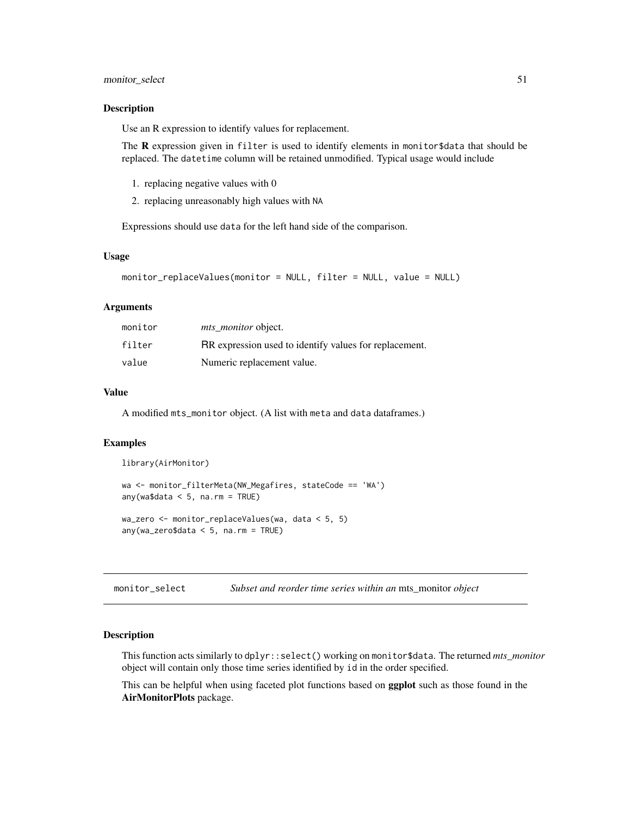# <span id="page-50-0"></span>monitor\_select 51

#### Description

Use an R expression to identify values for replacement.

The  $\bf{R}$  expression given in filter is used to identify elements in monitor \$data that should be replaced. The datetime column will be retained unmodified. Typical usage would include

- 1. replacing negative values with 0
- 2. replacing unreasonably high values with NA

Expressions should use data for the left hand side of the comparison.

#### Usage

```
monitor_replaceValues(monitor = NULL, filter = NULL, value = NULL)
```
#### Arguments

| monitor | <i>mts_monitor</i> object.                             |
|---------|--------------------------------------------------------|
| filter  | RR expression used to identify values for replacement. |
| value   | Numeric replacement value.                             |

# Value

A modified mts\_monitor object. (A list with meta and data dataframes.)

#### Examples

```
library(AirMonitor)
wa <- monitor_filterMeta(NW_Megafires, stateCode == 'WA')
any(wa$data < 5, na.rm = TRUE)
wa_zero <- monitor_replaceValues(wa, data < 5, 5)
any(wa_zero$data < 5, na.rm = TRUE)
```
monitor\_select *Subset and reorder time series within an* mts\_monitor *object*

# Description

This function acts similarly to dplyr::select() working on monitor\$data. The returned *mts\_monitor* object will contain only those time series identified by id in the order specified.

This can be helpful when using faceted plot functions based on **ggplot** such as those found in the AirMonitorPlots package.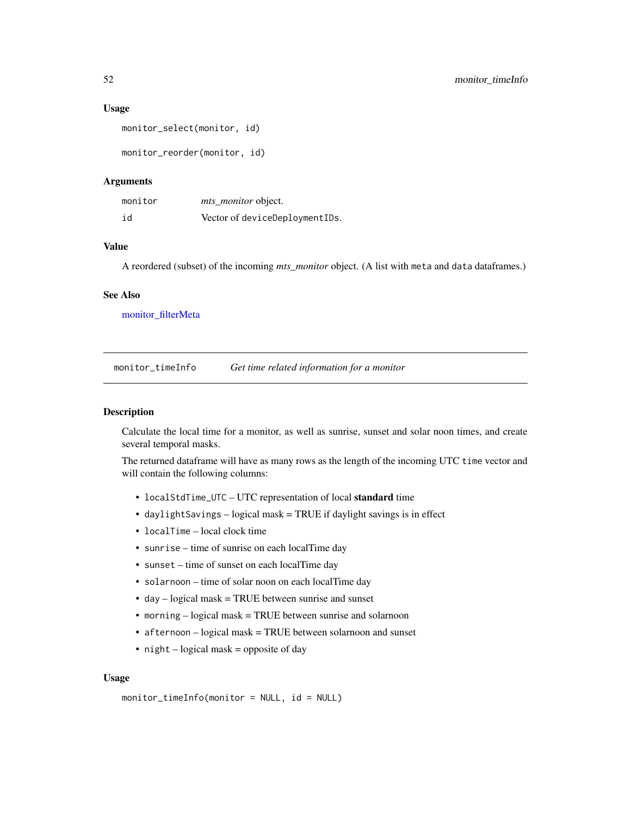#### <span id="page-51-0"></span>Usage

```
monitor_select(monitor, id)
```
monitor\_reorder(monitor, id)

# Arguments

| monitor | mts_monitor object.            |
|---------|--------------------------------|
| id      | Vector of deviceDeploymentIDs. |

# Value

A reordered (subset) of the incoming *mts\_monitor* object. (A list with meta and data dataframes.)

# See Also

[monitor\\_filterMeta](#page-33-1)

monitor\_timeInfo *Get time related information for a monitor*

#### Description

Calculate the local time for a monitor, as well as sunrise, sunset and solar noon times, and create several temporal masks.

The returned dataframe will have as many rows as the length of the incoming UTC time vector and will contain the following columns:

- localStdTime\_UTC UTC representation of local standard time
- daylightSavings logical mask = TRUE if daylight savings is in effect
- localTime local clock time
- sunrise time of sunrise on each localTime day
- sunset time of sunset on each localTime day
- solarnoon time of solar noon on each localTime day
- day logical mask = TRUE between sunrise and sunset
- morning logical mask = TRUE between sunrise and solarnoon
- afternoon logical mask = TRUE between solarnoon and sunset
- night logical mask = opposite of day

#### Usage

monitor\_timeInfo(monitor = NULL, id = NULL)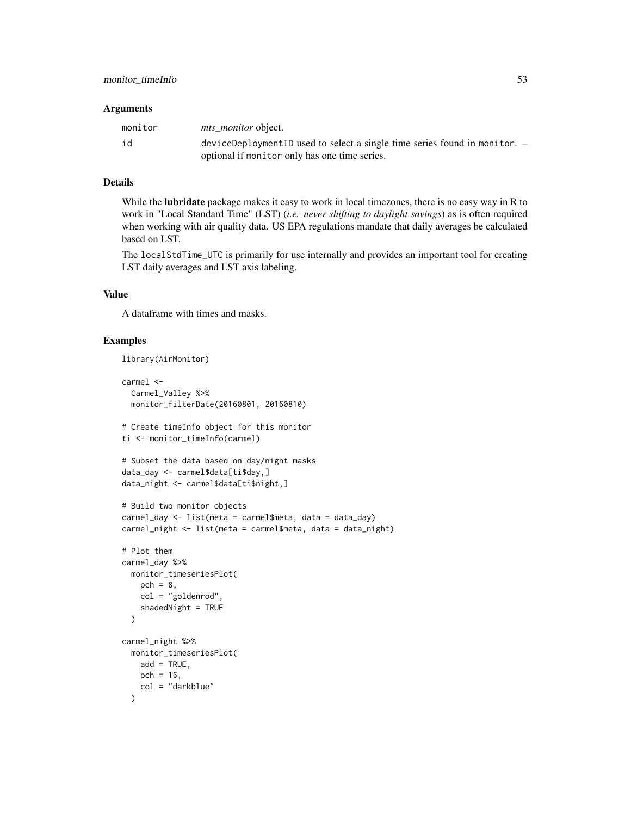#### **Arguments**

| monitor | <i>mts monitor</i> object.                                                 |
|---------|----------------------------------------------------------------------------|
| id      | deviceDeploymentID used to select a single time series found in monitor. - |
|         | optional if monitor only has one time series.                              |

# Details

While the **lubridate** package makes it easy to work in local timezones, there is no easy way in R to work in "Local Standard Time" (LST) (*i.e. never shifting to daylight savings*) as is often required when working with air quality data. US EPA regulations mandate that daily averages be calculated based on LST.

The localStdTime\_UTC is primarily for use internally and provides an important tool for creating LST daily averages and LST axis labeling.

# Value

A dataframe with times and masks.

# Examples

```
library(AirMonitor)
```

```
carmel <-
  Carmel_Valley %>%
  monitor_filterDate(20160801, 20160810)
# Create timeInfo object for this monitor
ti <- monitor_timeInfo(carmel)
# Subset the data based on day/night masks
data_day <- carmel$data[ti$day,]
data_night <- carmel$data[ti$night,]
# Build two monitor objects
carmel_day <- list(meta = carmel$meta, data = data_day)
carmel_night <- list(meta = carmel$meta, data = data_night)
# Plot them
carmel_day %>%
  monitor_timeseriesPlot(
   pch = 8,
   col = "goldenrod",
    shadedNight = TRUE
  )
carmel_night %>%
  monitor_timeseriesPlot(
   add = TRUE,pch = 16,
   col = "darkblue"
  )
```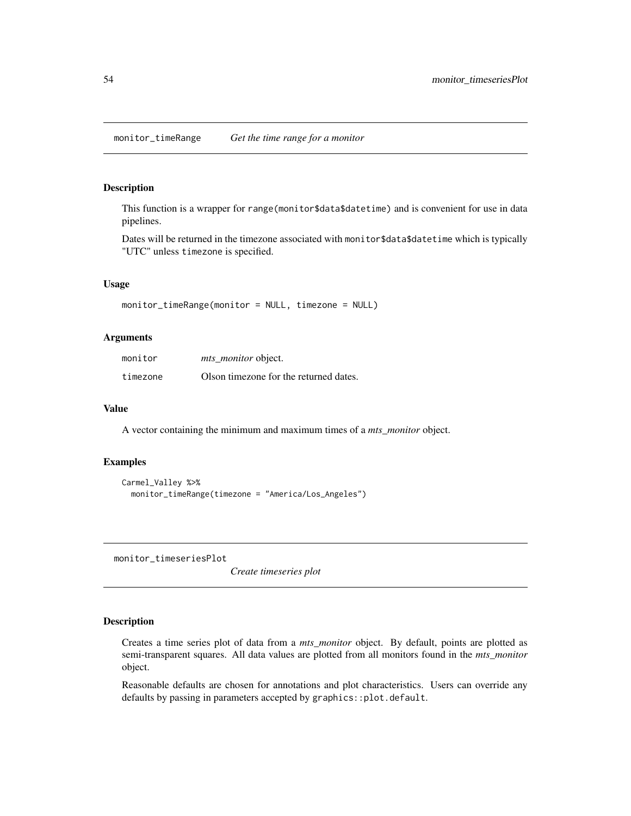# <span id="page-53-0"></span>Description

This function is a wrapper for range(monitor\$data\$datetime) and is convenient for use in data pipelines.

Dates will be returned in the timezone associated with monitor\$data\$datetime which is typically "UTC" unless timezone is specified.

#### Usage

```
monitor_timeRange(monitor = NULL, timezone = NULL)
```
#### Arguments

| monitor  | <i>mts monitor</i> object.             |
|----------|----------------------------------------|
| timezone | Olson timezone for the returned dates. |

#### Value

A vector containing the minimum and maximum times of a *mts\_monitor* object.

#### Examples

```
Carmel_Valley %>%
 monitor_timeRange(timezone = "America/Los_Angeles")
```
<span id="page-53-1"></span>monitor\_timeseriesPlot

*Create timeseries plot*

#### Description

Creates a time series plot of data from a *mts\_monitor* object. By default, points are plotted as semi-transparent squares. All data values are plotted from all monitors found in the *mts\_monitor* object.

Reasonable defaults are chosen for annotations and plot characteristics. Users can override any defaults by passing in parameters accepted by graphics::plot.default.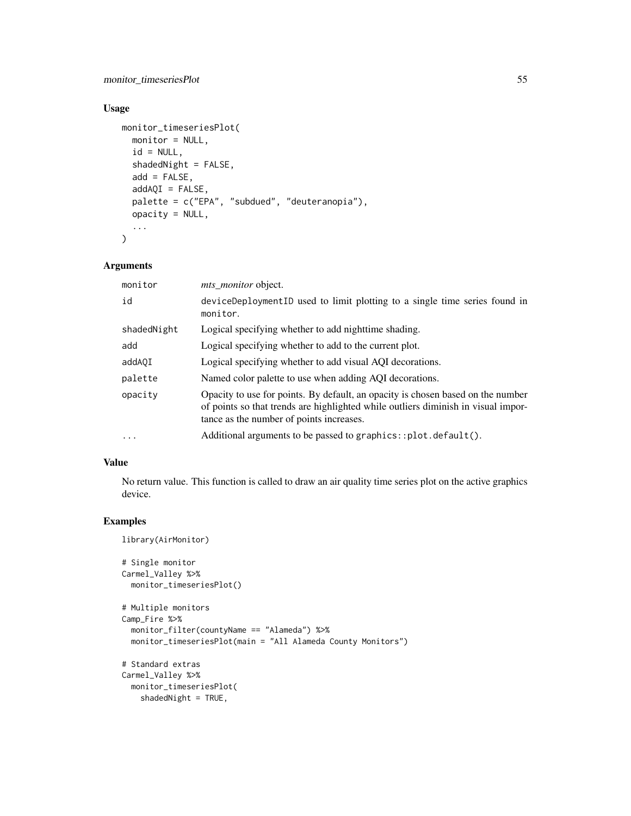monitor\_timeseriesPlot 55

# Usage

```
monitor_timeseriesPlot(
 monitor = NULL,
  id = NULL,shadedNight = FALSE,
  add = FALSE,addAQI = FALSE,palette = c("EPA", "subdued", "deuteranopia"),
  opacity = NULL,
  ...
\mathcal{L}
```
# Arguments

| monitor     | <i>mts_monitor</i> object.                                                                                                                                                                                       |
|-------------|------------------------------------------------------------------------------------------------------------------------------------------------------------------------------------------------------------------|
| id          | deviceDeploymentID used to limit plotting to a single time series found in<br>monitor.                                                                                                                           |
| shadedNight | Logical specifying whether to add nighttime shading.                                                                                                                                                             |
| add         | Logical specifying whether to add to the current plot.                                                                                                                                                           |
| addAQI      | Logical specifying whether to add visual AQI decorations.                                                                                                                                                        |
| palette     | Named color palette to use when adding AQI decorations.                                                                                                                                                          |
| opacity     | Opacity to use for points. By default, an opacity is chosen based on the number<br>of points so that trends are highlighted while outliers diminish in visual impor-<br>tance as the number of points increases. |
| .           | Additional arguments to be passed to graphics::plot.default().                                                                                                                                                   |

# Value

No return value. This function is called to draw an air quality time series plot on the active graphics device.

# Examples

```
library(AirMonitor)
```

```
# Single monitor
Carmel_Valley %>%
  monitor_timeseriesPlot()
# Multiple monitors
Camp_Fire %>%
  monitor_filter(countyName == "Alameda") %>%
  monitor_timeseriesPlot(main = "All Alameda County Monitors")
# Standard extras
Carmel_Valley %>%
 monitor_timeseriesPlot(
   shadedNight = TRUE,
```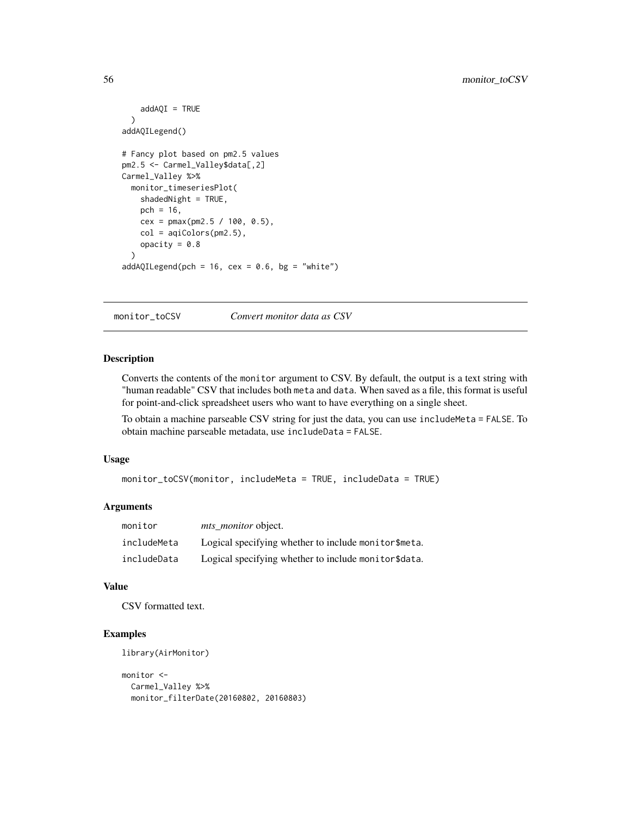```
addAQI = TRUE)
addAQILegend()
# Fancy plot based on pm2.5 values
pm2.5 <- Carmel_Valley$data[,2]
Carmel_Valley %>%
 monitor_timeseriesPlot(
   shadedNight = TRUE,
   pch = 16,
   cex = pmax(pm2.5 / 100, 0.5),
   col = aqiColors(pm2.5),
   opacity = 0.8\lambdaaddAQILegend(pch = 16, cex = 0.6, bg = "white")
```
monitor\_toCSV *Convert monitor data as CSV*

# Description

Converts the contents of the monitor argument to CSV. By default, the output is a text string with "human readable" CSV that includes both meta and data. When saved as a file, this format is useful for point-and-click spreadsheet users who want to have everything on a single sheet.

To obtain a machine parseable CSV string for just the data, you can use includeMeta = FALSE. To obtain machine parseable metadata, use includeData = FALSE.

#### Usage

```
monitor_toCSV(monitor, includeMeta = TRUE, includeData = TRUE)
```
# Arguments

| monitor     | <i>mts_monitor</i> object.                           |
|-------------|------------------------------------------------------|
| includeMeta | Logical specifying whether to include monitor\$meta. |
| includeData | Logical specifying whether to include monitor\$data. |

#### Value

CSV formatted text.

# Examples

library(AirMonitor)

```
monitor <-
  Carmel_Valley %>%
  monitor_filterDate(20160802, 20160803)
```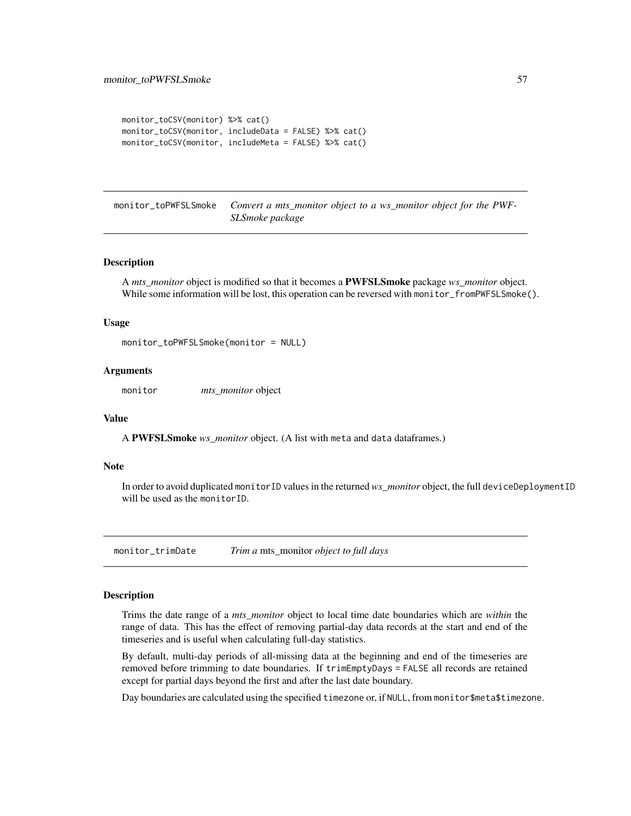```
monitor_toCSV(monitor) %>% cat()
monitor_toCSV(monitor, includeData = FALSE) %>% cat()
monitor_toCSV(monitor, includeMeta = FALSE) %>% cat()
```
monitor\_toPWFSLSmoke *Convert a mts\_monitor object to a ws\_monitor object for the PWF-SLSmoke package*

#### Description

A *mts\_monitor* object is modified so that it becomes a PWFSLSmoke package *ws\_monitor* object. While some information will be lost, this operation can be reversed with monitor\_fromPWFSLSmoke().

#### Usage

```
monitor_toPWFSLSmoke(monitor = NULL)
```
#### Arguments

monitor *mts\_monitor* object

#### Value

A PWFSLSmoke *ws\_monitor* object. (A list with meta and data dataframes.)

#### Note

In order to avoid duplicated monitorID values in the returned *ws\_monitor* object, the full deviceDeploymentID will be used as the monitorID.

monitor\_trimDate *Trim a* mts\_monitor *object to full days*

# Description

Trims the date range of a *mts\_monitor* object to local time date boundaries which are *within* the range of data. This has the effect of removing partial-day data records at the start and end of the timeseries and is useful when calculating full-day statistics.

By default, multi-day periods of all-missing data at the beginning and end of the timeseries are removed before trimming to date boundaries. If trimEmptyDays = FALSE all records are retained except for partial days beyond the first and after the last date boundary.

Day boundaries are calculated using the specified timezone or, if NULL, from monitor\$meta\$timezone.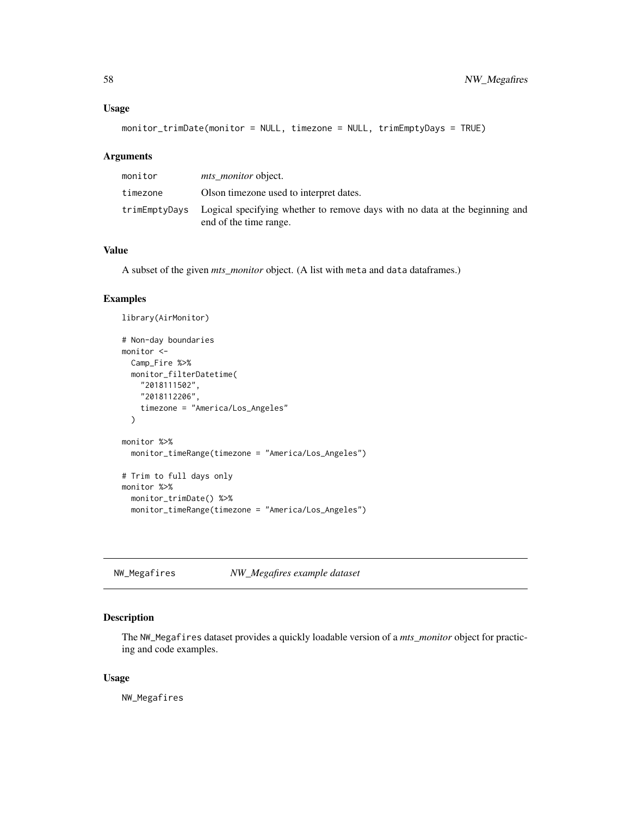#### <span id="page-57-0"></span>Usage

```
monitor_trimDate(monitor = NULL, timezone = NULL, trimEmptyDays = TRUE)
```
#### Arguments

| monitor  | <i>mts monitor</i> object.                                                                                          |
|----------|---------------------------------------------------------------------------------------------------------------------|
| timezone | Olson timezone used to interpret dates.                                                                             |
|          | trimEmptyDays Logical specifying whether to remove days with no data at the beginning and<br>end of the time range. |

# Value

A subset of the given *mts\_monitor* object. (A list with meta and data dataframes.)

#### Examples

```
library(AirMonitor)
# Non-day boundaries
monitor <-
  Camp_Fire %>%
  monitor_filterDatetime(
    "2018111502",
    "2018112206",
   timezone = "America/Los_Angeles"
  )
monitor %>%
  monitor_timeRange(timezone = "America/Los_Angeles")
# Trim to full days only
monitor %>%
  monitor_trimDate() %>%
  monitor_timeRange(timezone = "America/Los_Angeles")
```
NW\_Megafires *NW\_Megafires example dataset*

# Description

The NW\_Megafires dataset provides a quickly loadable version of a *mts\_monitor* object for practicing and code examples.

#### Usage

NW\_Megafires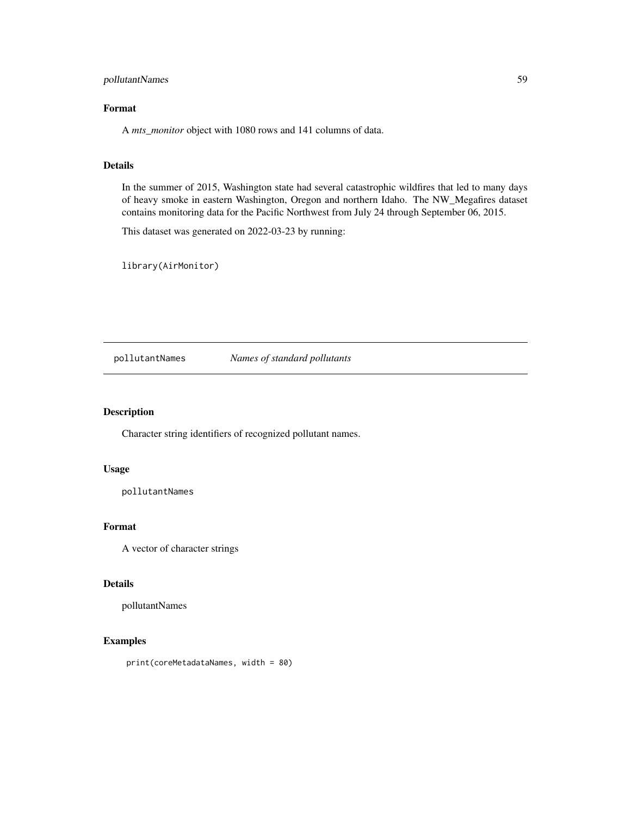# <span id="page-58-0"></span>pollutantNames 59

# Format

A *mts\_monitor* object with 1080 rows and 141 columns of data.

# Details

In the summer of 2015, Washington state had several catastrophic wildfires that led to many days of heavy smoke in eastern Washington, Oregon and northern Idaho. The NW\_Megafires dataset contains monitoring data for the Pacific Northwest from July 24 through September 06, 2015.

This dataset was generated on 2022-03-23 by running:

library(AirMonitor)

pollutantNames *Names of standard pollutants*

#### Description

Character string identifiers of recognized pollutant names.

#### Usage

pollutantNames

# Format

A vector of character strings

# Details

pollutantNames

# Examples

print(coreMetadataNames, width = 80)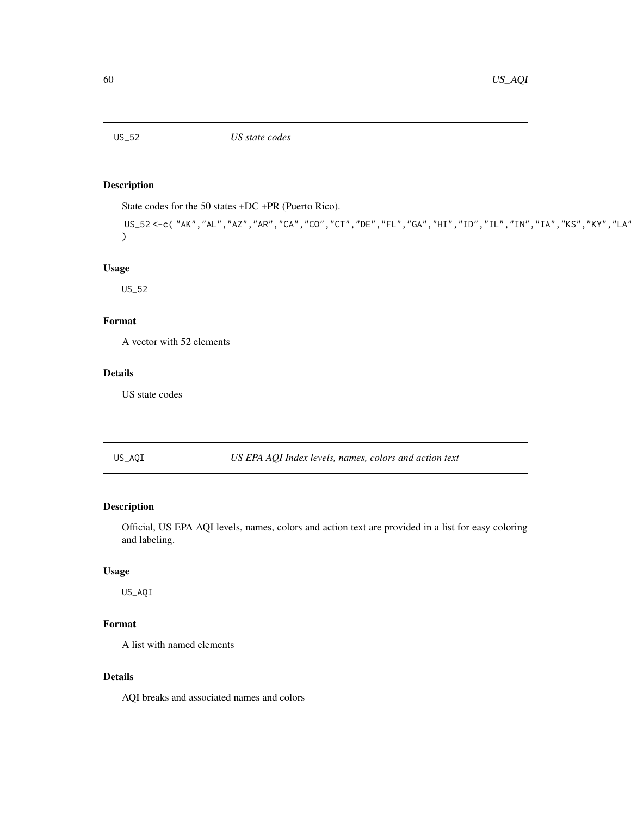<span id="page-59-0"></span>

# Description

State codes for the 50 states +DC +PR (Puerto Rico).

US\_52 <-c( "AK", "AL", "AZ", "AR", "CA", "CO", "CT", "DE", "FL", "GA", "HI", "ID", "IL", "IN", "IA", "KS", "KY", "LA'  $\mathcal{L}$ 

# Usage

US\_52

# Format

A vector with 52 elements

# Details

US state codes

US\_AQI *US EPA AQI Index levels, names, colors and action text*

# Description

Official, US EPA AQI levels, names, colors and action text are provided in a list for easy coloring and labeling.

# Usage

US\_AQI

# Format

A list with named elements

# Details

AQI breaks and associated names and colors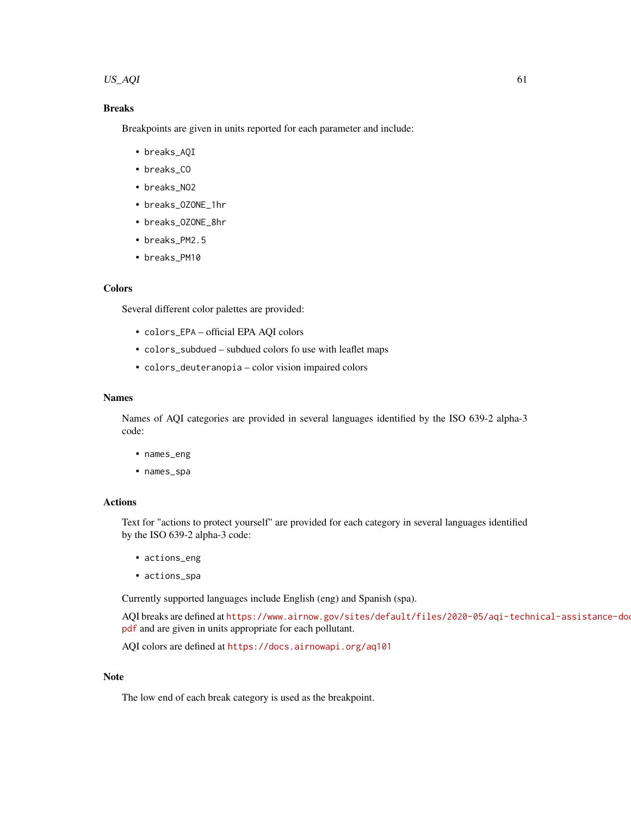#### $US_AQI$  61

# Breaks

Breakpoints are given in units reported for each parameter and include:

- breaks\_AQI
- breaks\_CO
- breaks\_NO2
- breaks\_OZONE\_1hr
- breaks\_OZONE\_8hr
- breaks\_PM2.5
- breaks\_PM10

# **Colors**

Several different color palettes are provided:

- colors\_EPA official EPA AQI colors
- colors\_subdued subdued colors fo use with leaflet maps
- colors\_deuteranopia color vision impaired colors

# Names

Names of AQI categories are provided in several languages identified by the ISO 639-2 alpha-3 code:

- names\_eng
- names\_spa

# Actions

Text for "actions to protect yourself" are provided for each category in several languages identified by the ISO 639-2 alpha-3 code:

- actions\_eng
- actions\_spa

Currently supported languages include English (eng) and Spanish (spa).

AQI breaks are defined at [https://www.airnow.gov/sites/default/files/2020-05/aqi-tech](https://www.airnow.gov/sites/default/files/2020-05/aqi-technical-assistance-document-sept2018.pdf)nical-assistance-do [pdf](https://www.airnow.gov/sites/default/files/2020-05/aqi-technical-assistance-document-sept2018.pdf) and are given in units appropriate for each pollutant.

AQI colors are defined at <https://docs.airnowapi.org/aq101>

#### Note

The low end of each break category is used as the breakpoint.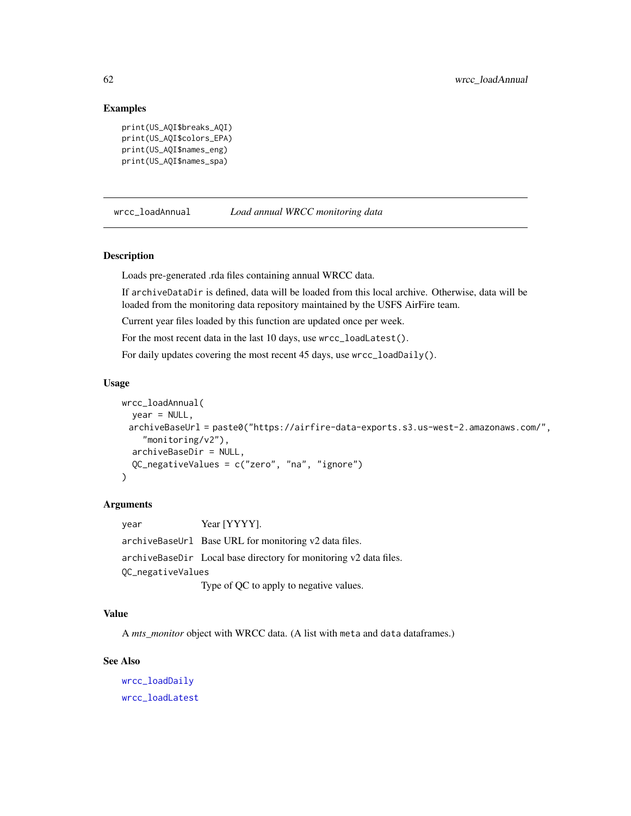#### Examples

```
print(US_AQI$breaks_AQI)
print(US_AQI$colors_EPA)
print(US_AQI$names_eng)
print(US_AQI$names_spa)
```
<span id="page-61-1"></span>wrcc\_loadAnnual *Load annual WRCC monitoring data*

# Description

Loads pre-generated .rda files containing annual WRCC data.

If archiveDataDir is defined, data will be loaded from this local archive. Otherwise, data will be loaded from the monitoring data repository maintained by the USFS AirFire team.

Current year files loaded by this function are updated once per week.

For the most recent data in the last 10 days, use wrcc\_loadLatest().

For daily updates covering the most recent 45 days, use wrcc\_loadDaily().

#### Usage

```
wrcc_loadAnnual(
  year = NULL,archiveBaseUrl = paste0("https://airfire-data-exports.s3.us-west-2.amazonaws.com/",
    "monitoring/v2"),
  archiveBaseDir = NULL,
  QC_negativeValues = c("zero", "na", "ignore")
)
```
#### Arguments

year Year [YYYY]. archiveBaseUrl Base URL for monitoring v2 data files. archiveBaseDir Local base directory for monitoring v2 data files. QC\_negativeValues Type of QC to apply to negative values.

# Value

A *mts\_monitor* object with WRCC data. (A list with meta and data dataframes.)

# See Also

[wrcc\\_loadDaily](#page-62-1) [wrcc\\_loadLatest](#page-63-1)

<span id="page-61-0"></span>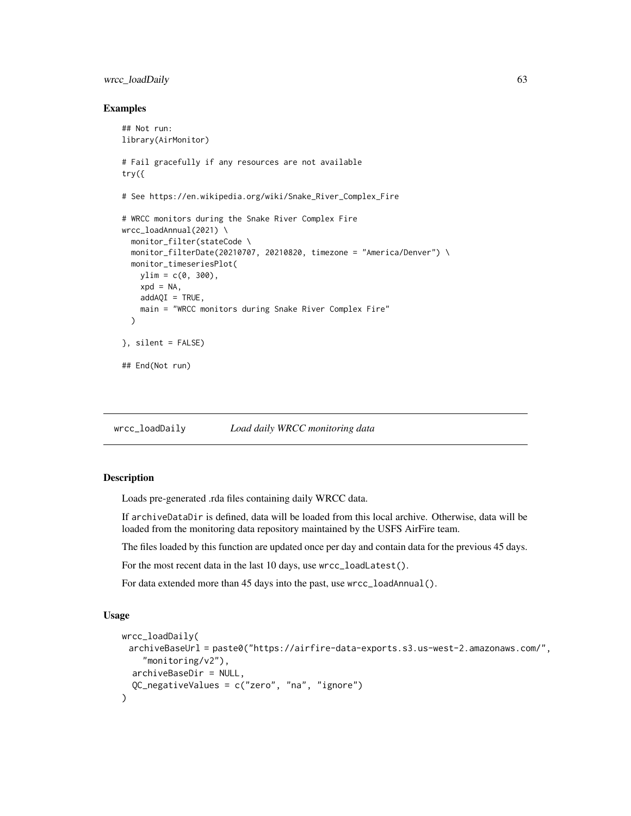# <span id="page-62-0"></span>wrcc\_loadDaily 63

#### Examples

```
## Not run:
library(AirMonitor)
# Fail gracefully if any resources are not available
try({
# See https://en.wikipedia.org/wiki/Snake_River_Complex_Fire
# WRCC monitors during the Snake River Complex Fire
wrcc_loadAnnual(2021) \
  monitor_filter(stateCode \
  monitor_filterDate(20210707, 20210820, timezone = "America/Denver") \
  monitor_timeseriesPlot(
   ylim = c(0, 300),xpd = NA,
   addAQI = TRUE,main = "WRCC monitors during Snake River Complex Fire"
  \lambda}, silent = FALSE)
## End(Not run)
```
<span id="page-62-1"></span>wrcc\_loadDaily *Load daily WRCC monitoring data*

#### Description

Loads pre-generated .rda files containing daily WRCC data.

If archiveDataDir is defined, data will be loaded from this local archive. Otherwise, data will be loaded from the monitoring data repository maintained by the USFS AirFire team.

The files loaded by this function are updated once per day and contain data for the previous 45 days.

For the most recent data in the last 10 days, use wrcc\_loadLatest().

For data extended more than 45 days into the past, use wrcc\_loadAnnual().

#### Usage

```
wrcc_loadDaily(
 archiveBaseUrl = paste0("https://airfire-data-exports.s3.us-west-2.amazonaws.com/",
    "monitoring/v2"),
 archiveBaseDir = NULL,
  QC_negativeValues = c("zero", "na", "ignore")
)
```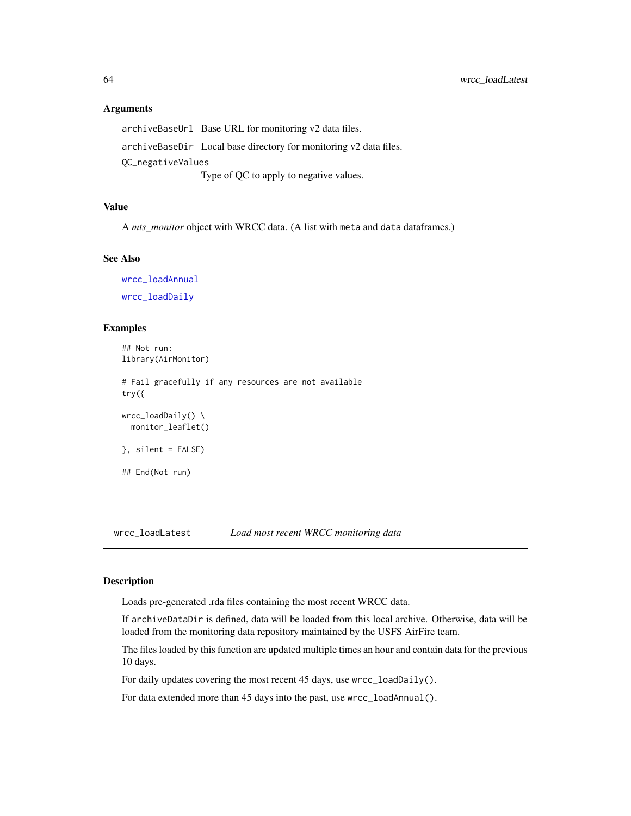#### <span id="page-63-0"></span>Arguments

archiveBaseUrl Base URL for monitoring v2 data files. archiveBaseDir Local base directory for monitoring v2 data files. QC\_negativeValues Type of QC to apply to negative values.

#### Value

A *mts\_monitor* object with WRCC data. (A list with meta and data dataframes.)

#### See Also

[wrcc\\_loadAnnual](#page-61-1) [wrcc\\_loadDaily](#page-62-1)

#### Examples

## Not run: library(AirMonitor) # Fail gracefully if any resources are not available try({  $wrec\_loadDaily() \ \ \ \ \$ monitor\_leaflet() }, silent = FALSE) ## End(Not run)

<span id="page-63-1"></span>wrcc\_loadLatest *Load most recent WRCC monitoring data*

#### Description

Loads pre-generated .rda files containing the most recent WRCC data.

If archiveDataDir is defined, data will be loaded from this local archive. Otherwise, data will be loaded from the monitoring data repository maintained by the USFS AirFire team.

The files loaded by this function are updated multiple times an hour and contain data for the previous 10 days.

For daily updates covering the most recent 45 days, use wrcc\_loadDaily().

For data extended more than 45 days into the past, use wrcc\_loadAnnual().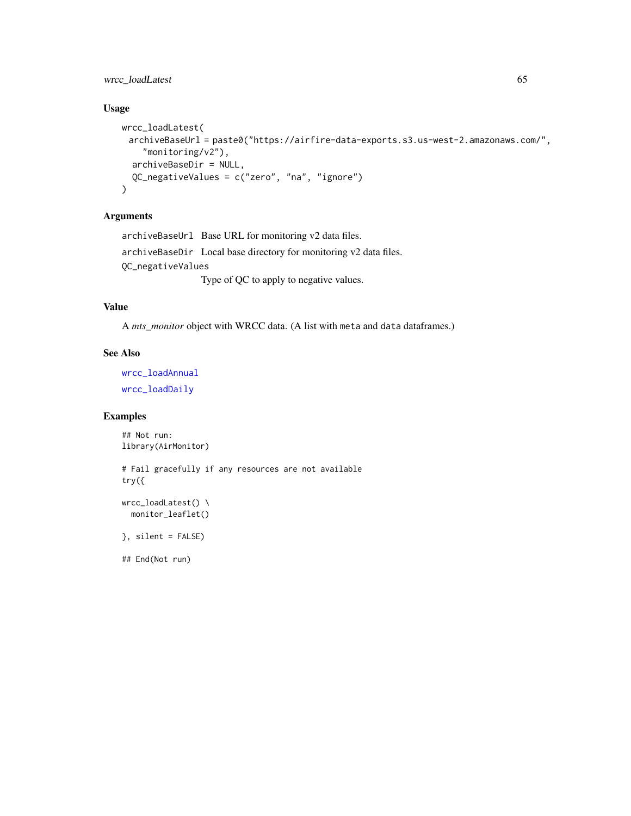# <span id="page-64-0"></span>wrcc\_loadLatest 65

# Usage

```
wrcc_loadLatest(
 archiveBaseUrl = paste0("https://airfire-data-exports.s3.us-west-2.amazonaws.com/",
    "monitoring/v2"),
  archiveBaseDir = NULL,
  QC_negativeValues = c("zero", "na", "ignore")
\mathcal{L}
```
# Arguments

archiveBaseUrl Base URL for monitoring v2 data files. archiveBaseDir Local base directory for monitoring v2 data files. QC\_negativeValues Type of QC to apply to negative values.

# Value

A *mts\_monitor* object with WRCC data. (A list with meta and data dataframes.)

#### See Also

[wrcc\\_loadAnnual](#page-61-1) [wrcc\\_loadDaily](#page-62-1)

#### Examples

## Not run: library(AirMonitor)

# Fail gracefully if any resources are not available try({

```
wrcc_loadLatest() \
  monitor_leaflet()
```
}, silent = FALSE)

## End(Not run)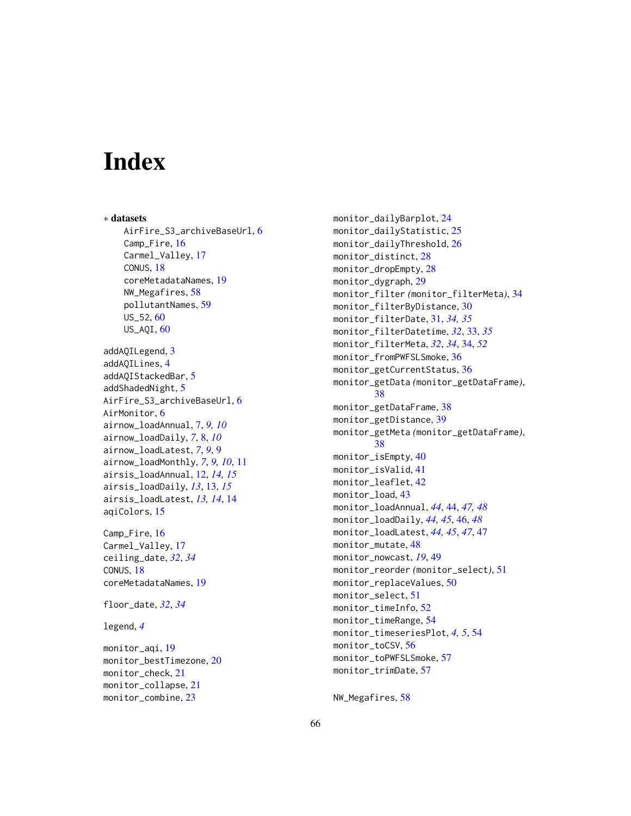# <span id="page-65-0"></span>**Index**

∗ datasets AirFire\_S3\_archiveBaseUrl, [6](#page-5-0) Camp\_Fire, [16](#page-15-0) Carmel\_Valley, [17](#page-16-0) CONUS, [18](#page-17-0) coreMetadataNames, [19](#page-18-0) NW\_Megafires, [58](#page-57-0) pollutantNames, [59](#page-58-0)  $US_52, 60$  $US_52, 60$ US\_AQI, [60](#page-59-0) addAQILegend, [3](#page-2-0) addAQILines, [4](#page-3-0) addAQIStackedBar, [5](#page-4-0) addShadedNight, [5](#page-4-0) AirFire\_S3\_archiveBaseUrl, [6](#page-5-0) AirMonitor, [6](#page-5-0) airnow\_loadAnnual, [7,](#page-6-0) *[9,](#page-8-0) [10](#page-9-0)* airnow\_loadDaily, *[7](#page-6-0)*, [8,](#page-7-0) *[10](#page-9-0)* airnow\_loadLatest, *[7](#page-6-0)*, *[9](#page-8-0)*, [9](#page-8-0) airnow\_loadMonthly, *[7](#page-6-0)*, *[9,](#page-8-0) [10](#page-9-0)*, [11](#page-10-0) airsis\_loadAnnual, [12,](#page-11-0) *[14,](#page-13-0) [15](#page-14-0)* airsis\_loadDaily, *[13](#page-12-0)*, [13,](#page-12-0) *[15](#page-14-0)* airsis\_loadLatest, *[13,](#page-12-0) [14](#page-13-0)*, [14](#page-13-0) aqiColors, [15](#page-14-0) Camp\_Fire, [16](#page-15-0) Carmel\_Valley, [17](#page-16-0) ceiling\_date, *[32](#page-31-0)*, *[34](#page-33-0)* CONUS, [18](#page-17-0) coreMetadataNames, [19](#page-18-0)

floor\_date, *[32](#page-31-0)*, *[34](#page-33-0)*

legend, *[4](#page-3-0)*

monitor\_aqi, [19](#page-18-0) monitor\_bestTimezone, [20](#page-19-0) monitor\_check, [21](#page-20-0) monitor\_collapse, [21](#page-20-0) monitor\_combine, [23](#page-22-0)

monitor\_dailyBarplot, [24](#page-23-0) monitor\_dailyStatistic, [25](#page-24-0) monitor\_dailyThreshold, [26](#page-25-0) monitor\_distinct, [28](#page-27-0) monitor\_dropEmpty, [28](#page-27-0) monitor\_dygraph, [29](#page-28-0) monitor\_filter *(*monitor\_filterMeta*)*, [34](#page-33-0) monitor\_filterByDistance, [30](#page-29-0) monitor\_filterDate, [31,](#page-30-0) *[34,](#page-33-0) [35](#page-34-0)* monitor\_filterDatetime, *[32](#page-31-0)*, [33,](#page-32-0) *[35](#page-34-0)* monitor\_filterMeta, *[32](#page-31-0)*, *[34](#page-33-0)*, [34,](#page-33-0) *[52](#page-51-0)* monitor\_fromPWFSLSmoke, [36](#page-35-0) monitor\_getCurrentStatus, [36](#page-35-0) monitor\_getData *(*monitor\_getDataFrame*)*, [38](#page-37-0) monitor\_getDataFrame, [38](#page-37-0) monitor\_getDistance, [39](#page-38-0) monitor\_getMeta *(*monitor\_getDataFrame*)*, [38](#page-37-0) monitor\_isEmpty, [40](#page-39-0) monitor\_isValid, [41](#page-40-0) monitor\_leaflet, [42](#page-41-0) monitor\_load, [43](#page-42-0) monitor\_loadAnnual, *[44](#page-43-0)*, [44,](#page-43-0) *[47,](#page-46-0) [48](#page-47-0)* monitor\_loadDaily, *[44,](#page-43-0) [45](#page-44-0)*, [46,](#page-45-0) *[48](#page-47-0)* monitor\_loadLatest, *[44,](#page-43-0) [45](#page-44-0)*, *[47](#page-46-0)*, [47](#page-46-0) monitor\_mutate, [48](#page-47-0) monitor\_nowcast, *[19](#page-18-0)*, [49](#page-48-0) monitor\_reorder *(*monitor\_select*)*, [51](#page-50-0) monitor\_replaceValues, [50](#page-49-0) monitor\_select, [51](#page-50-0) monitor\_timeInfo, [52](#page-51-0) monitor\_timeRange, [54](#page-53-0) monitor\_timeseriesPlot, *[4,](#page-3-0) [5](#page-4-0)*, [54](#page-53-0) monitor\_toCSV, [56](#page-55-0) monitor\_toPWFSLSmoke, [57](#page-56-0) monitor\_trimDate, [57](#page-56-0)

NW\_Megafires, [58](#page-57-0)